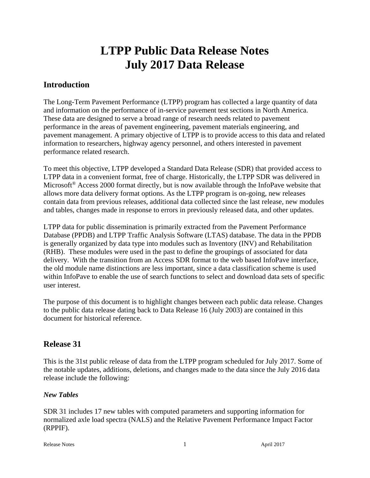# **LTPP Public Data Release Notes July 2017 Data Release**

# **Introduction**

The Long-Term Pavement Performance (LTPP) program has collected a large quantity of data and information on the performance of in-service pavement test sections in North America. These data are designed to serve a broad range of research needs related to pavement performance in the areas of pavement engineering, pavement materials engineering, and pavement management. A primary objective of LTPP is to provide access to this data and related information to researchers, highway agency personnel, and others interested in pavement performance related research.

To meet this objective, LTPP developed a Standard Data Release (SDR) that provided access to LTPP data in a convenient format, free of charge. Historically, the LTPP SDR was delivered in Microsoft<sup>®</sup> Access 2000 format directly, but is now available through the InfoPave website that allows more data delivery format options. As the LTPP program is on-going, new releases contain data from previous releases, additional data collected since the last release, new modules and tables, changes made in response to errors in previously released data, and other updates.

LTPP data for public dissemination is primarily extracted from the Pavement Performance Database (PPDB) and LTPP Traffic Analysis Software (LTAS) database. The data in the PPDB is generally organized by data type into modules such as Inventory (INV) and Rehabilitation (RHB). These modules were used in the past to define the groupings of associated for data delivery. With the transition from an Access SDR format to the web based InfoPave interface, the old module name distinctions are less important, since a data classification scheme is used within InfoPave to enable the use of search functions to select and download data sets of specific user interest.

The purpose of this document is to highlight changes between each public data release. Changes to the public data release dating back to Data Release 16 (July 2003) are contained in this document for historical reference.

# **Release 31**

This is the 31st public release of data from the LTPP program scheduled for July 2017. Some of the notable updates, additions, deletions, and changes made to the data since the July 2016 data release include the following:

# *New Tables*

SDR 31 includes 17 new tables with computed parameters and supporting information for normalized axle load spectra (NALS) and the Relative Pavement Performance Impact Factor (RPPIF).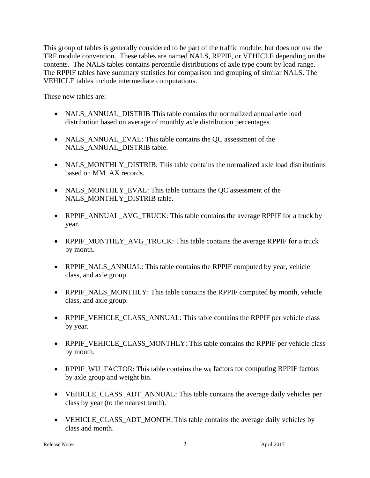This group of tables is generally considered to be part of the traffic module, but does not use the TRF module convention. These tables are named NALS, RPPIF, or VEHICLE depending on the contents. The NALS tables contains percentile distributions of axle type count by load range. The RPPIF tables have summary statistics for comparison and grouping of similar NALS. The VEHICLE tables include intermediate computations.

These new tables are:

- NALS\_ANNUAL\_DISTRIB This table contains the normalized annual axle load distribution based on average of monthly axle distribution percentages.
- NALS\_ANNUAL\_EVAL: This table contains the QC assessment of the NALS\_ANNUAL\_DISTRIB table.
- NALS\_MONTHLY\_DISTRIB: This table contains the normalized axle load distributions based on MM\_AX records.
- NALS MONTHLY EVAL: This table contains the QC assessment of the NALS\_MONTHLY\_DISTRIB table.
- RPPIF\_ANNUAL\_AVG\_TRUCK: This table contains the average RPPIF for a truck by year.
- RPPIF\_MONTHLY\_AVG\_TRUCK: This table contains the average RPPIF for a truck by month.
- RPPIF NALS ANNUAL: This table contains the RPPIF computed by year, vehicle class, and axle group.
- RPPIF\_NALS\_MONTHLY: This table contains the RPPIF computed by month, vehicle class, and axle group.
- RPPIF\_VEHICLE\_CLASS\_ANNUAL: This table contains the RPPIF per vehicle class by year.
- RPPIF VEHICLE CLASS MONTHLY: This table contains the RPPIF per vehicle class by month.
- RPPIF WIJ FACTOR: This table contains the w<sub>ij</sub> factors for computing RPPIF factors by axle group and weight bin.
- VEHICLE\_CLASS\_ADT\_ANNUAL: This table contains the average daily vehicles per class by year (to the nearest tenth).
- VEHICLE CLASS ADT MONTH: This table contains the average daily vehicles by class and month.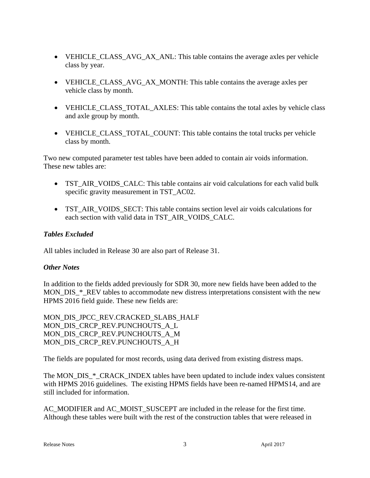- VEHICLE\_CLASS\_AVG\_AX\_ANL: This table contains the average axles per vehicle class by year.
- VEHICLE\_CLASS\_AVG\_AX\_MONTH: This table contains the average axles per vehicle class by month.
- VEHICLE CLASS TOTAL AXLES: This table contains the total axles by vehicle class and axle group by month.
- VEHICLE CLASS TOTAL COUNT: This table contains the total trucks per vehicle class by month.

Two new computed parameter test tables have been added to contain air voids information. These new tables are:

- TST AIR VOIDS CALC: This table contains air void calculations for each valid bulk specific gravity measurement in TST\_AC02.
- TST\_AIR\_VOIDS\_SECT: This table contains section level air voids calculations for each section with valid data in TST\_AIR\_VOIDS\_CALC.

# *Tables Excluded*

All tables included in Release 30 are also part of Release 31.

# *Other Notes*

In addition to the fields added previously for SDR 30, more new fields have been added to the MON DIS \* REV tables to accommodate new distress interpretations consistent with the new HPMS 2016 field guide. These new fields are:

MON\_DIS\_JPCC\_REV.CRACKED\_SLABS\_HALF MON\_DIS\_CRCP\_REV.PUNCHOUTS\_A\_L MON DIS CRCP REV.PUNCHOUTS A M MON\_DIS\_CRCP\_REV.PUNCHOUTS\_A\_H

The fields are populated for most records, using data derived from existing distress maps.

The MON DIS \* CRACK INDEX tables have been updated to include index values consistent with HPMS 2016 guidelines. The existing HPMS fields have been re-named HPMS14, and are still included for information.

AC\_MODIFIER and AC\_MOIST\_SUSCEPT are included in the release for the first time. Although these tables were built with the rest of the construction tables that were released in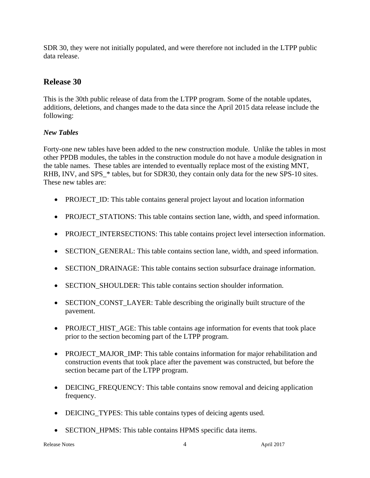SDR 30, they were not initially populated, and were therefore not included in the LTPP public data release.

# **Release 30**

This is the 30th public release of data from the LTPP program. Some of the notable updates, additions, deletions, and changes made to the data since the April 2015 data release include the following:

# *New Tables*

Forty-one new tables have been added to the new construction module. Unlike the tables in most other PPDB modules, the tables in the construction module do not have a module designation in the table names. These tables are intended to eventually replace most of the existing MNT, RHB, INV, and SPS  $*$  tables, but for SDR30, they contain only data for the new SPS-10 sites. These new tables are:

- PROJECT ID: This table contains general project layout and location information
- PROJECT STATIONS: This table contains section lane, width, and speed information.
- PROJECT INTERSECTIONS: This table contains project level intersection information.
- SECTION GENERAL: This table contains section lane, width, and speed information.
- SECTION\_DRAINAGE: This table contains section subsurface drainage information.
- SECTION SHOULDER: This table contains section shoulder information.
- SECTION CONST LAYER: Table describing the originally built structure of the pavement.
- PROJECT\_HIST\_AGE: This table contains age information for events that took place prior to the section becoming part of the LTPP program.
- PROJECT MAJOR IMP: This table contains information for major rehabilitation and construction events that took place after the pavement was constructed, but before the section became part of the LTPP program.
- DEICING\_FREQUENCY: This table contains snow removal and deicing application frequency.
- DEICING\_TYPES: This table contains types of deicing agents used.
- SECTION\_HPMS: This table contains HPMS specific data items.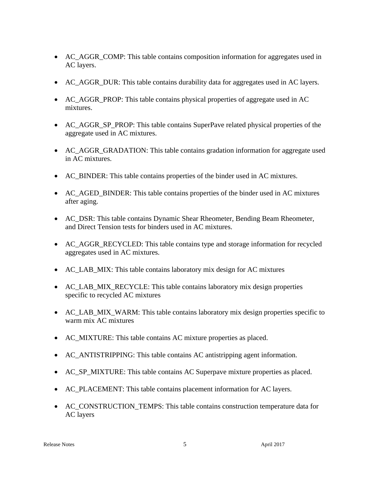- AC AGGR COMP: This table contains composition information for aggregates used in AC layers.
- AC\_AGGR\_DUR: This table contains durability data for aggregates used in AC layers.
- AC\_AGGR\_PROP: This table contains physical properties of aggregate used in AC mixtures.
- AC\_AGGR\_SP\_PROP: This table contains SuperPave related physical properties of the aggregate used in AC mixtures.
- AC\_AGGR\_GRADATION: This table contains gradation information for aggregate used in AC mixtures.
- AC\_BINDER: This table contains properties of the binder used in AC mixtures.
- AC\_AGED\_BINDER: This table contains properties of the binder used in AC mixtures after aging.
- AC\_DSR: This table contains Dynamic Shear Rheometer, Bending Beam Rheometer, and Direct Tension tests for binders used in AC mixtures.
- AC\_AGGR\_RECYCLED: This table contains type and storage information for recycled aggregates used in AC mixtures.
- AC\_LAB\_MIX: This table contains laboratory mix design for AC mixtures
- AC\_LAB\_MIX\_RECYCLE: This table contains laboratory mix design properties specific to recycled AC mixtures
- AC\_LAB\_MIX\_WARM: This table contains laboratory mix design properties specific to warm mix AC mixtures
- AC\_MIXTURE: This table contains AC mixture properties as placed.
- AC\_ANTISTRIPPING: This table contains AC antistripping agent information.
- AC\_SP\_MIXTURE: This table contains AC Superpave mixture properties as placed.
- AC\_PLACEMENT: This table contains placement information for AC layers.
- AC\_CONSTRUCTION\_TEMPS: This table contains construction temperature data for AC layers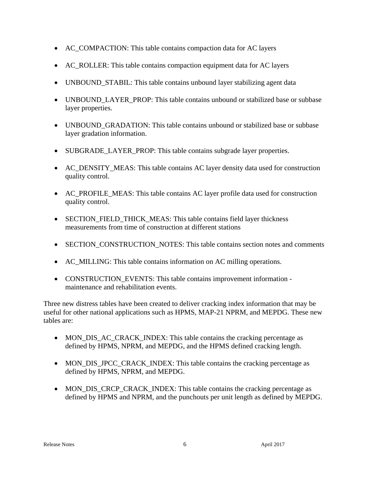- AC\_COMPACTION: This table contains compaction data for AC layers
- AC\_ROLLER: This table contains compaction equipment data for AC layers
- UNBOUND\_STABIL: This table contains unbound layer stabilizing agent data
- UNBOUND LAYER PROP: This table contains unbound or stabilized base or subbase layer properties.
- UNBOUND GRADATION: This table contains unbound or stabilized base or subbase layer gradation information.
- SUBGRADE LAYER PROP: This table contains subgrade layer properties.
- AC\_DENSITY\_MEAS: This table contains AC layer density data used for construction quality control.
- AC\_PROFILE\_MEAS: This table contains AC layer profile data used for construction quality control.
- SECTION\_FIELD\_THICK\_MEAS: This table contains field layer thickness measurements from time of construction at different stations
- SECTION\_CONSTRUCTION\_NOTES: This table contains section notes and comments
- AC\_MILLING: This table contains information on AC milling operations.
- CONSTRUCTION\_EVENTS: This table contains improvement information maintenance and rehabilitation events.

Three new distress tables have been created to deliver cracking index information that may be useful for other national applications such as HPMS, MAP-21 NPRM, and MEPDG. These new tables are:

- MON\_DIS\_AC\_CRACK\_INDEX: This table contains the cracking percentage as defined by HPMS, NPRM, and MEPDG, and the HPMS defined cracking length.
- MON\_DIS\_JPCC\_CRACK\_INDEX: This table contains the cracking percentage as defined by HPMS, NPRM, and MEPDG.
- MON DIS CRCP CRACK INDEX: This table contains the cracking percentage as defined by HPMS and NPRM, and the punchouts per unit length as defined by MEPDG.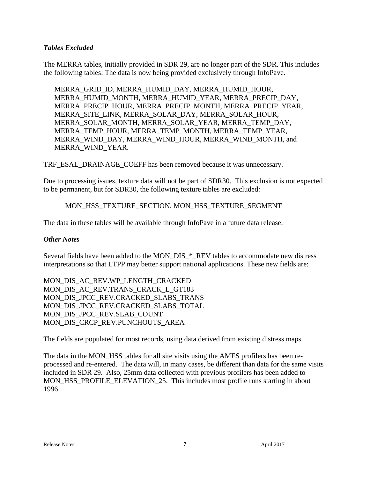#### *Tables Excluded*

The MERRA tables, initially provided in SDR 29, are no longer part of the SDR. This includes the following tables: The data is now being provided exclusively through InfoPave.

MERRA\_GRID\_ID, MERRA\_HUMID\_DAY, MERRA\_HUMID\_HOUR, MERRA\_HUMID\_MONTH, MERRA\_HUMID\_YEAR, MERRA\_PRECIP\_DAY, MERRA\_PRECIP\_HOUR, MERRA\_PRECIP\_MONTH, MERRA\_PRECIP\_YEAR, MERRA\_SITE\_LINK, MERRA\_SOLAR\_DAY, MERRA\_SOLAR\_HOUR, MERRA\_SOLAR\_MONTH, MERRA\_SOLAR\_YEAR, MERRA\_TEMP\_DAY, MERRA\_TEMP\_HOUR, MERRA\_TEMP\_MONTH, MERRA\_TEMP\_YEAR, MERRA\_WIND\_DAY, MERRA\_WIND\_HOUR, MERRA\_WIND\_MONTH, and MERRA\_WIND\_YEAR.

TRF\_ESAL\_DRAINAGE\_COEFF has been removed because it was unnecessary.

Due to processing issues, texture data will not be part of SDR30. This exclusion is not expected to be permanent, but for SDR30, the following texture tables are excluded:

#### MON\_HSS\_TEXTURE\_SECTION, MON\_HSS\_TEXTURE\_SEGMENT

The data in these tables will be available through InfoPave in a future data release.

#### *Other Notes*

Several fields have been added to the MON\_DIS\_\*\_REV tables to accommodate new distress interpretations so that LTPP may better support national applications. These new fields are:

MON\_DIS\_AC\_REV.WP\_LENGTH\_CRACKED MON\_DIS\_AC\_REV.TRANS\_CRACK\_L\_GT183 MON\_DIS\_JPCC\_REV.CRACKED\_SLABS\_TRANS MON\_DIS\_JPCC\_REV.CRACKED\_SLABS\_TOTAL MON\_DIS\_JPCC\_REV.SLAB\_COUNT MON DIS CRCP REV.PUNCHOUTS AREA

The fields are populated for most records, using data derived from existing distress maps.

The data in the MON\_HSS tables for all site visits using the AMES profilers has been reprocessed and re-entered. The data will, in many cases, be different than data for the same visits included in SDR 29. Also, 25mm data collected with previous profilers has been added to MON\_HSS\_PROFILE\_ELEVATION\_25. This includes most profile runs starting in about 1996.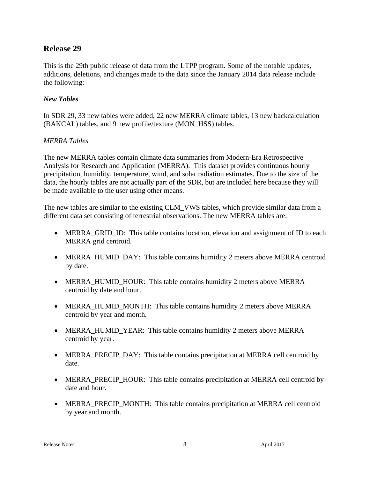# **Release 29**

This is the 29th public release of data from the LTPP program. Some of the notable updates, additions, deletions, and changes made to the data since the January 2014 data release include the following:

#### *New Tables*

In SDR 29, 33 new tables were added, 22 new MERRA climate tables, 13 new backcalculation (BAKCAL) tables, and 9 new profile/texture (MON\_HSS) tables.

#### *MERRA Tables*

The new MERRA tables contain climate data summaries from Modern-Era Retrospective Analysis for Research and Application (MERRA). This dataset provides continuous hourly precipitation, humidity, temperature, wind, and solar radiation estimates. Due to the size of the data, the hourly tables are not actually part of the SDR, but are included here because they will be made available to the user using other means.

The new tables are similar to the existing CLM\_VWS tables, which provide similar data from a different data set consisting of terrestrial observations. The new MERRA tables are:

- MERRA GRID ID: This table contains location, elevation and assignment of ID to each MERRA grid centroid.
- MERRA\_HUMID\_DAY: This table contains humidity 2 meters above MERRA centroid by date.
- MERRA\_HUMID\_HOUR: This table contains humidity 2 meters above MERRA centroid by date and hour.
- MERRA\_HUMID\_MONTH: This table contains humidity 2 meters above MERRA centroid by year and month.
- MERRA\_HUMID\_YEAR: This table contains humidity 2 meters above MERRA centroid by year.
- MERRA\_PRECIP\_DAY: This table contains precipitation at MERRA cell centroid by date.
- MERRA PRECIP HOUR: This table contains precipitation at MERRA cell centroid by date and hour.
- MERRA\_PRECIP\_MONTH: This table contains precipitation at MERRA cell centroid by year and month.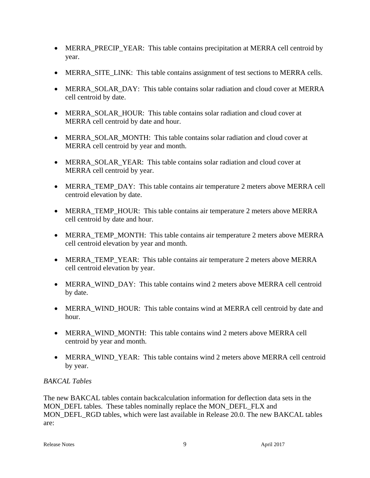- MERRA\_PRECIP\_YEAR: This table contains precipitation at MERRA cell centroid by year.
- MERRA\_SITE\_LINK: This table contains assignment of test sections to MERRA cells.
- MERRA SOLAR DAY: This table contains solar radiation and cloud cover at MERRA cell centroid by date.
- MERRA SOLAR HOUR: This table contains solar radiation and cloud cover at MERRA cell centroid by date and hour.
- MERRA\_SOLAR\_MONTH: This table contains solar radiation and cloud cover at MERRA cell centroid by year and month.
- MERRA SOLAR YEAR: This table contains solar radiation and cloud cover at MERRA cell centroid by year.
- MERRA TEMP DAY: This table contains air temperature 2 meters above MERRA cell centroid elevation by date.
- MERRA\_TEMP\_HOUR: This table contains air temperature 2 meters above MERRA cell centroid by date and hour.
- MERRA\_TEMP\_MONTH: This table contains air temperature 2 meters above MERRA cell centroid elevation by year and month.
- MERRA TEMP YEAR: This table contains air temperature 2 meters above MERRA cell centroid elevation by year.
- MERRA WIND DAY: This table contains wind 2 meters above MERRA cell centroid by date.
- MERRA\_WIND\_HOUR: This table contains wind at MERRA cell centroid by date and hour.
- MERRA WIND MONTH: This table contains wind 2 meters above MERRA cell centroid by year and month.
- MERRA WIND YEAR: This table contains wind 2 meters above MERRA cell centroid by year.

# *BAKCAL Tables*

The new BAKCAL tables contain backcalculation information for deflection data sets in the MON\_DEFL tables. These tables nominally replace the MON\_DEFL\_FLX and MON\_DEFL\_RGD tables, which were last available in Release 20.0. The new BAKCAL tables are: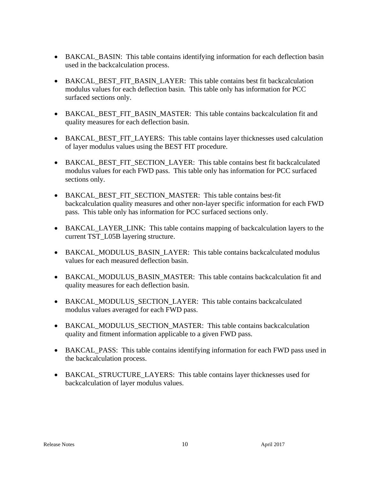- BAKCAL\_BASIN: This table contains identifying information for each deflection basin used in the backcalculation process.
- BAKCAL BEST FIT BASIN LAYER: This table contains best fit backcalculation modulus values for each deflection basin. This table only has information for PCC surfaced sections only.
- BAKCAL\_BEST\_FIT\_BASIN\_MASTER: This table contains backcalculation fit and quality measures for each deflection basin.
- BAKCAL\_BEST\_FIT\_LAYERS: This table contains layer thicknesses used calculation of layer modulus values using the BEST FIT procedure.
- BAKCAL\_BEST\_FIT\_SECTION\_LAYER: This table contains best fit backcalculated modulus values for each FWD pass. This table only has information for PCC surfaced sections only.
- BAKCAL BEST FIT SECTION MASTER: This table contains best-fit backcalculation quality measures and other non-layer specific information for each FWD pass. This table only has information for PCC surfaced sections only.
- BAKCAL\_LAYER\_LINK: This table contains mapping of backcalculation layers to the current TST\_L05B layering structure.
- BAKCAL\_MODULUS\_BASIN\_LAYER: This table contains backcalculated modulus values for each measured deflection basin.
- BAKCAL\_MODULUS\_BASIN\_MASTER: This table contains backcalculation fit and quality measures for each deflection basin.
- BAKCAL MODULUS SECTION LAYER: This table contains backcalculated modulus values averaged for each FWD pass.
- BAKCAL MODULUS SECTION MASTER: This table contains backcalculation quality and fitment information applicable to a given FWD pass.
- BAKCAL PASS: This table contains identifying information for each FWD pass used in the backcalculation process.
- BAKCAL\_STRUCTURE\_LAYERS: This table contains layer thicknesses used for backcalculation of layer modulus values.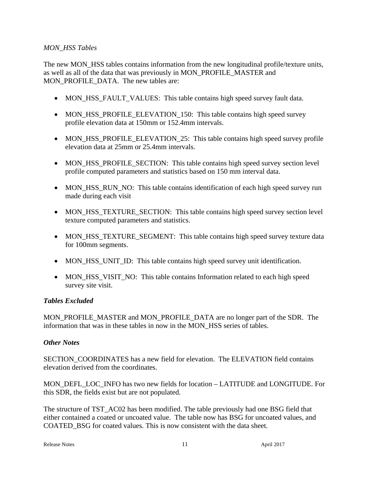#### *MON\_HSS Tables*

The new MON\_HSS tables contains information from the new longitudinal profile/texture units, as well as all of the data that was previously in MON\_PROFILE\_MASTER and MON\_PROFILE\_DATA. The new tables are:

- MON\_HSS\_FAULT\_VALUES: This table contains high speed survey fault data.
- MON HSS PROFILE ELEVATION 150: This table contains high speed survey profile elevation data at 150mm or 152.4mm intervals.
- MON\_HSS\_PROFILE\_ELEVATION\_25: This table contains high speed survey profile elevation data at 25mm or 25.4mm intervals.
- MON HSS PROFILE SECTION: This table contains high speed survey section level profile computed parameters and statistics based on 150 mm interval data.
- MON\_HSS\_RUN\_NO: This table contains identification of each high speed survey run made during each visit
- MON\_HSS\_TEXTURE\_SECTION: This table contains high speed survey section level texture computed parameters and statistics.
- MON\_HSS\_TEXTURE\_SEGMENT: This table contains high speed survey texture data for 100mm segments.
- MON\_HSS\_UNIT\_ID: This table contains high speed survey unit identification.
- MON HSS VISIT NO: This table contains Information related to each high speed survey site visit.

# *Tables Excluded*

MON\_PROFILE\_MASTER and MON\_PROFILE\_DATA are no longer part of the SDR. The information that was in these tables in now in the MON\_HSS series of tables.

#### *Other Notes*

SECTION\_COORDINATES has a new field for elevation. The ELEVATION field contains elevation derived from the coordinates.

MON\_DEFL\_LOC\_INFO has two new fields for location – LATITUDE and LONGITUDE. For this SDR, the fields exist but are not populated.

The structure of TST\_AC02 has been modified. The table previously had one BSG field that either contained a coated or uncoated value. The table now has BSG for uncoated values, and COATED\_BSG for coated values. This is now consistent with the data sheet.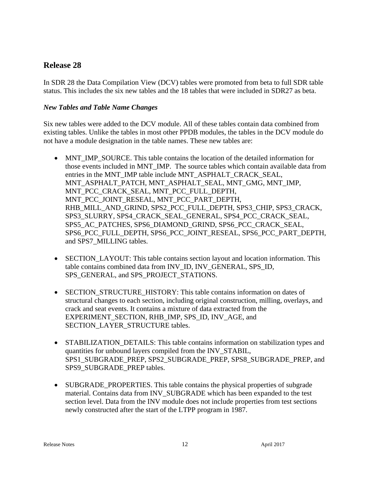# **Release 28**

In SDR 28 the Data Compilation View (DCV) tables were promoted from beta to full SDR table status. This includes the six new tables and the 18 tables that were included in SDR27 as beta.

# *New Tables and Table Name Changes*

Six new tables were added to the DCV module. All of these tables contain data combined from existing tables. Unlike the tables in most other PPDB modules, the tables in the DCV module do not have a module designation in the table names. These new tables are:

- MNT\_IMP\_SOURCE. This table contains the location of the detailed information for those events included in MNT\_IMP. The source tables which contain available data from entries in the MNT\_IMP table include MNT\_ASPHALT\_CRACK\_SEAL, MNT\_ASPHALT\_PATCH, MNT\_ASPHALT\_SEAL, MNT\_GMG, MNT\_IMP, MNT\_PCC\_CRACK\_SEAL, MNT\_PCC\_FULL\_DEPTH, MNT\_PCC\_JOINT\_RESEAL, MNT\_PCC\_PART\_DEPTH, RHB\_MILL\_AND\_GRIND, SPS2\_PCC\_FULL\_DEPTH, SPS3\_CHIP, SPS3\_CRACK, SPS3\_SLURRY, SPS4\_CRACK\_SEAL\_GENERAL, SPS4\_PCC\_CRACK\_SEAL, SPS5\_AC\_PATCHES, SPS6\_DIAMOND\_GRIND, SPS6\_PCC\_CRACK\_SEAL, SPS6\_PCC\_FULL\_DEPTH, SPS6\_PCC\_JOINT\_RESEAL, SPS6\_PCC\_PART\_DEPTH, and SPS7\_MILLING tables.
- SECTION\_LAYOUT: This table contains section layout and location information. This table contains combined data from INV\_ID, INV\_GENERAL, SPS\_ID, SPS\_GENERAL, and SPS\_PROJECT\_STATIONS.
- SECTION STRUCTURE HISTORY: This table contains information on dates of structural changes to each section, including original construction, milling, overlays, and crack and seat events. It contains a mixture of data extracted from the EXPERIMENT\_SECTION, RHB\_IMP, SPS\_ID, INV\_AGE, and SECTION\_LAYER\_STRUCTURE tables.
- STABILIZATION DETAILS: This table contains information on stabilization types and quantities for unbound layers compiled from the INV\_STABIL, SPS1\_SUBGRADE\_PREP, SPS2\_SUBGRADE\_PREP, SPS8\_SUBGRADE\_PREP, and SPS9\_SUBGRADE\_PREP tables.
- SUBGRADE\_PROPERTIES. This table contains the physical properties of subgrade material. Contains data from INV\_SUBGRADE which has been expanded to the test section level. Data from the INV module does not include properties from test sections newly constructed after the start of the LTPP program in 1987.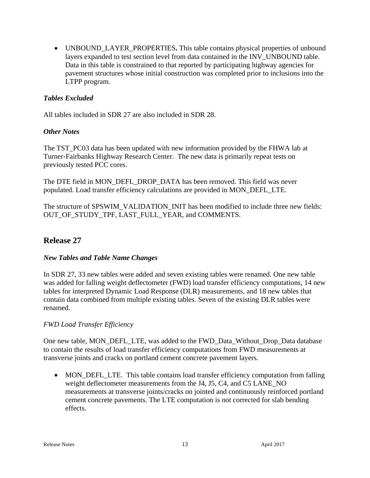UNBOUND\_LAYER\_PROPERTIES**.** This table contains physical properties of unbound layers expanded to test section level from data contained in the INV\_UNBOUND table. Data in this table is constrained to that reported by participating highway agencies for pavement structures whose initial construction was completed prior to inclusions into the LTPP program.

# *Tables Excluded*

All tables included in SDR 27 are also included in SDR 28.

# *Other Notes*

The TST\_PC03 data has been updated with new information provided by the FHWA lab at Turner-Fairbanks Highway Research Center. The new data is primarily repeat tests on previously tested PCC cores.

The DTE field in MON\_DEFL\_DROP\_DATA has been removed. This field was never populated. Load transfer efficiency calculations are provided in MON\_DEFL\_LTE.

The structure of SPSWIM\_VALIDATION\_INIT has been modified to include three new fields: OUT OF STUDY TPF, LAST FULL YEAR, and COMMENTS.

# **Release 27**

# *New Tables and Table Name Changes*

In SDR 27, 33 new tables were added and seven existing tables were renamed. One new table was added for falling weight deflectometer (FWD) load transfer efficiency computations, 14 new tables for interpreted Dynamic Load Response (DLR) measurements, and 18 new tables that contain data combined from multiple existing tables. Seven of the existing DLR tables were renamed.

# *FWD Load Transfer Efficiency*

One new table, MON\_DEFL\_LTE, was added to the FWD\_Data\_Without\_Drop\_Data database to contain the results of load transfer efficiency computations from FWD measurements at transverse joints and cracks on portland cement concrete pavement layers.

 MON\_DEFL\_LTE. This table contains load transfer efficiency computation from falling weight deflectometer measurements from the J4, J5, C4, and C5 LANE\_NO measurements at transverse joints/cracks on jointed and continuously reinforced portland cement concrete pavements. The LTE computation is not corrected for slab bending effects.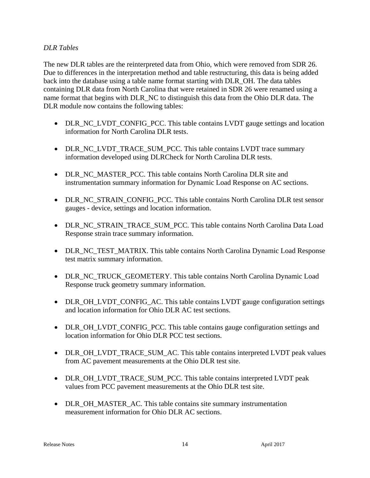#### *DLR Tables*

The new DLR tables are the reinterpreted data from Ohio, which were removed from SDR 26. Due to differences in the interpretation method and table restructuring, this data is being added back into the database using a table name format starting with DLR\_OH. The data tables containing DLR data from North Carolina that were retained in SDR 26 were renamed using a name format that begins with DLR\_NC to distinguish this data from the Ohio DLR data. The DLR module now contains the following tables:

- DLR\_NC\_LVDT\_CONFIG\_PCC. This table contains LVDT gauge settings and location information for North Carolina DLR tests.
- DLR\_NC\_LVDT\_TRACE\_SUM\_PCC. This table contains LVDT trace summary information developed using DLRCheck for North Carolina DLR tests.
- DLR\_NC\_MASTER\_PCC. This table contains North Carolina DLR site and instrumentation summary information for Dynamic Load Response on AC sections.
- DLR\_NC\_STRAIN\_CONFIG\_PCC. This table contains North Carolina DLR test sensor gauges - device, settings and location information.
- DLR\_NC\_STRAIN\_TRACE\_SUM\_PCC. This table contains North Carolina Data Load Response strain trace summary information.
- DLR\_NC\_TEST\_MATRIX. This table contains North Carolina Dynamic Load Response test matrix summary information.
- DLR\_NC\_TRUCK\_GEOMETERY. This table contains North Carolina Dynamic Load Response truck geometry summary information.
- DLR\_OH\_LVDT\_CONFIG\_AC. This table contains LVDT gauge configuration settings and location information for Ohio DLR AC test sections.
- DLR\_OH\_LVDT\_CONFIG\_PCC. This table contains gauge configuration settings and location information for Ohio DLR PCC test sections.
- DLR\_OH\_LVDT\_TRACE\_SUM\_AC. This table contains interpreted LVDT peak values from AC pavement measurements at the Ohio DLR test site.
- DLR\_OH\_LVDT\_TRACE\_SUM\_PCC. This table contains interpreted LVDT peak values from PCC pavement measurements at the Ohio DLR test site.
- DLR\_OH\_MASTER\_AC. This table contains site summary instrumentation measurement information for Ohio DLR AC sections.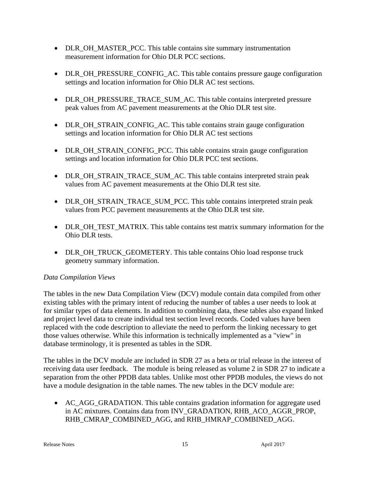- DLR OH\_MASTER\_PCC. This table contains site summary instrumentation measurement information for Ohio DLR PCC sections.
- DLR OH\_PRESSURE\_CONFIG\_AC. This table contains pressure gauge configuration settings and location information for Ohio DLR AC test sections.
- DLR\_OH\_PRESSURE\_TRACE\_SUM\_AC. This table contains interpreted pressure peak values from AC pavement measurements at the Ohio DLR test site.
- DLR\_OH\_STRAIN\_CONFIG\_AC. This table contains strain gauge configuration settings and location information for Ohio DLR AC test sections
- DLR\_OH\_STRAIN\_CONFIG\_PCC. This table contains strain gauge configuration settings and location information for Ohio DLR PCC test sections.
- DLR\_OH\_STRAIN\_TRACE\_SUM\_AC. This table contains interpreted strain peak values from AC pavement measurements at the Ohio DLR test site.
- DLR\_OH\_STRAIN\_TRACE\_SUM\_PCC. This table contains interpreted strain peak values from PCC pavement measurements at the Ohio DLR test site.
- DLR OH TEST MATRIX. This table contains test matrix summary information for the Ohio DLR tests.
- DLR\_OH\_TRUCK\_GEOMETERY. This table contains Ohio load response truck geometry summary information.

# *Data Compilation Views*

The tables in the new Data Compilation View (DCV) module contain data compiled from other existing tables with the primary intent of reducing the number of tables a user needs to look at for similar types of data elements. In addition to combining data, these tables also expand linked and project level data to create individual test section level records. Coded values have been replaced with the code description to alleviate the need to perform the linking necessary to get those values otherwise. While this information is technically implemented as a "view" in database terminology, it is presented as tables in the SDR.

The tables in the DCV module are included in SDR 27 as a beta or trial release in the interest of receiving data user feedback. The module is being released as volume 2 in SDR 27 to indicate a separation from the other PPDB data tables. Unlike most other PPDB modules, the views do not have a module designation in the table names. The new tables in the DCV module are:

• AC\_AGG\_GRADATION. This table contains gradation information for aggregate used in AC mixtures. Contains data from INV\_GRADATION, RHB\_ACO\_AGGR\_PROP, RHB\_CMRAP\_COMBINED\_AGG, and RHB\_HMRAP\_COMBINED\_AGG.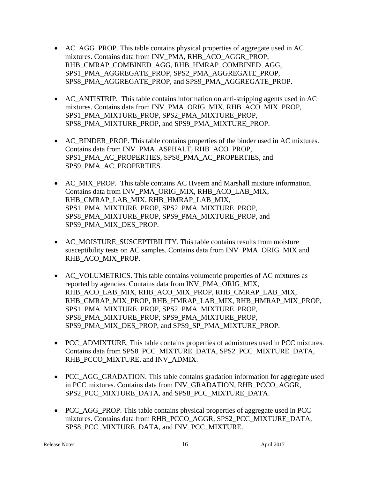- AC AGG PROP. This table contains physical properties of aggregate used in AC mixtures. Contains data from INV\_PMA, RHB\_ACO\_AGGR\_PROP, RHB\_CMRAP\_COMBINED\_AGG, RHB\_HMRAP\_COMBINED\_AGG, SPS1\_PMA\_AGGREGATE\_PROP, SPS2\_PMA\_AGGREGATE\_PROP, SPS8\_PMA\_AGGREGATE\_PROP, and SPS9\_PMA\_AGGREGATE\_PROP.
- AC\_ANTISTRIP. This table contains information on anti-stripping agents used in AC mixtures. Contains data from INV\_PMA\_ORIG\_MIX, RHB\_ACO\_MIX\_PROP, SPS1\_PMA\_MIXTURE\_PROP, SPS2\_PMA\_MIXTURE\_PROP, SPS8\_PMA\_MIXTURE\_PROP, and SPS9\_PMA\_MIXTURE\_PROP.
- AC\_BINDER\_PROP. This table contains properties of the binder used in AC mixtures. Contains data from INV\_PMA\_ASPHALT, RHB\_ACO\_PROP, SPS1\_PMA\_AC\_PROPERTIES, SPS8\_PMA\_AC\_PROPERTIES, and SPS9\_PMA\_AC\_PROPERTIES.
- AC\_MIX\_PROP. This table contains AC Hveem and Marshall mixture information. Contains data from INV\_PMA\_ORIG\_MIX, RHB\_ACO\_LAB\_MIX, RHB\_CMRAP\_LAB\_MIX, RHB\_HMRAP\_LAB\_MIX, SPS1\_PMA\_MIXTURE\_PROP, SPS2\_PMA\_MIXTURE\_PROP, SPS8\_PMA\_MIXTURE\_PROP, SPS9\_PMA\_MIXTURE\_PROP, and SPS9\_PMA\_MIX\_DES\_PROP.
- AC\_MOISTURE\_SUSCEPTIBILITY. This table contains results from moisture susceptibility tests on AC samples. Contains data from INV\_PMA\_ORIG\_MIX and RHB\_ACO\_MIX\_PROP.
- AC\_VOLUMETRICS. This table contains volumetric properties of AC mixtures as reported by agencies. Contains data from INV\_PMA\_ORIG\_MIX, RHB\_ACO\_LAB\_MIX, RHB\_ACO\_MIX\_PROP, RHB\_CMRAP\_LAB\_MIX, RHB\_CMRAP\_MIX\_PROP, RHB\_HMRAP\_LAB\_MIX, RHB\_HMRAP\_MIX\_PROP, SPS1\_PMA\_MIXTURE\_PROP, SPS2\_PMA\_MIXTURE\_PROP, SPS8\_PMA\_MIXTURE\_PROP, SPS9\_PMA\_MIXTURE\_PROP, SPS9\_PMA\_MIX\_DES\_PROP, and SPS9\_SP\_PMA\_MIXTURE\_PROP.
- PCC\_ADMIXTURE. This table contains properties of admixtures used in PCC mixtures. Contains data from SPS8\_PCC\_MIXTURE\_DATA, SPS2\_PCC\_MIXTURE\_DATA, RHB\_PCCO\_MIXTURE, and INV\_ADMIX.
- PCC\_AGG\_GRADATION. This table contains gradation information for aggregate used in PCC mixtures. Contains data from INV\_GRADATION, RHB\_PCCO\_AGGR, SPS2\_PCC\_MIXTURE\_DATA, and SPS8\_PCC\_MIXTURE\_DATA.
- PCC AGG PROP. This table contains physical properties of aggregate used in PCC mixtures. Contains data from RHB\_PCCO\_AGGR, SPS2\_PCC\_MIXTURE\_DATA, SPS8\_PCC\_MIXTURE\_DATA, and INV\_PCC\_MIXTURE.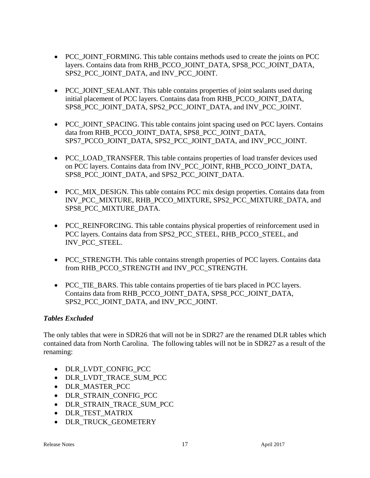- PCC\_JOINT\_FORMING. This table contains methods used to create the joints on PCC layers. Contains data from RHB\_PCCO\_JOINT\_DATA, SPS8\_PCC\_JOINT\_DATA, SPS2\_PCC\_JOINT\_DATA, and INV\_PCC\_JOINT.
- PCC JOINT SEALANT. This table contains properties of joint sealants used during initial placement of PCC layers. Contains data from RHB\_PCCO\_JOINT\_DATA, SPS8\_PCC\_JOINT\_DATA, SPS2\_PCC\_JOINT\_DATA, and INV\_PCC\_JOINT.
- PCC JOINT SPACING. This table contains joint spacing used on PCC layers. Contains data from RHB\_PCCO\_JOINT\_DATA, SPS8\_PCC\_JOINT\_DATA, SPS7\_PCCO\_JOINT\_DATA, SPS2\_PCC\_JOINT\_DATA, and INV\_PCC\_JOINT.
- PCC\_LOAD\_TRANSFER. This table contains properties of load transfer devices used on PCC layers. Contains data from INV\_PCC\_JOINT, RHB\_PCCO\_JOINT\_DATA, SPS8\_PCC\_JOINT\_DATA, and SPS2\_PCC\_JOINT\_DATA.
- PCC\_MIX\_DESIGN. This table contains PCC mix design properties. Contains data from INV\_PCC\_MIXTURE, RHB\_PCCO\_MIXTURE, SPS2\_PCC\_MIXTURE\_DATA, and SPS8\_PCC\_MIXTURE\_DATA.
- PCC\_REINFORCING. This table contains physical properties of reinforcement used in PCC layers. Contains data from SPS2\_PCC\_STEEL, RHB\_PCCO\_STEEL, and INV\_PCC\_STEEL.
- PCC\_STRENGTH. This table contains strength properties of PCC layers. Contains data from RHB\_PCCO\_STRENGTH and INV\_PCC\_STRENGTH.
- PCC TIE BARS. This table contains properties of tie bars placed in PCC layers. Contains data from RHB\_PCCO\_JOINT\_DATA, SPS8\_PCC\_JOINT\_DATA, SPS2\_PCC\_JOINT\_DATA, and INV\_PCC\_JOINT.

# *Tables Excluded*

The only tables that were in SDR26 that will not be in SDR27 are the renamed DLR tables which contained data from North Carolina. The following tables will not be in SDR27 as a result of the renaming:

- DLR LVDT CONFIG PCC
- DLR LVDT TRACE SUM PCC
- DLR MASTER PCC
- DLR STRAIN CONFIG PCC
- DLR STRAIN TRACE SUM PCC
- DLR TEST MATRIX
- DLR\_TRUCK\_GEOMETERY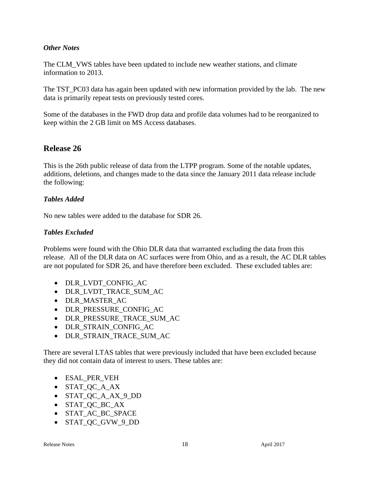#### *Other Notes*

The CLM\_VWS tables have been updated to include new weather stations, and climate information to 2013.

The TST\_PC03 data has again been updated with new information provided by the lab. The new data is primarily repeat tests on previously tested cores.

Some of the databases in the FWD drop data and profile data volumes had to be reorganized to keep within the 2 GB limit on MS Access databases.

# **Release 26**

This is the 26th public release of data from the LTPP program. Some of the notable updates, additions, deletions, and changes made to the data since the January 2011 data release include the following:

#### *Tables Added*

No new tables were added to the database for SDR 26.

#### *Tables Excluded*

Problems were found with the Ohio DLR data that warranted excluding the data from this release. All of the DLR data on AC surfaces were from Ohio, and as a result, the AC DLR tables are not populated for SDR 26, and have therefore been excluded. These excluded tables are:

- DLR\_LVDT\_CONFIG\_AC
- DLR\_LVDT\_TRACE\_SUM\_AC
- DLR MASTER AC
- DLR\_PRESSURE\_CONFIG\_AC
- DLR\_PRESSURE\_TRACE\_SUM\_AC
- DLR STRAIN CONFIG AC
- DLR STRAIN TRACE SUM AC

There are several LTAS tables that were previously included that have been excluded because they did not contain data of interest to users. These tables are:

- ESAL\_PER\_VEH
- STAT OC A AX
- STAT\_QC\_A\_AX\_9\_DD
- STAT\_QC\_BC\_AX
- STAT\_AC\_BC\_SPACE
- STAT OC GVW 9 DD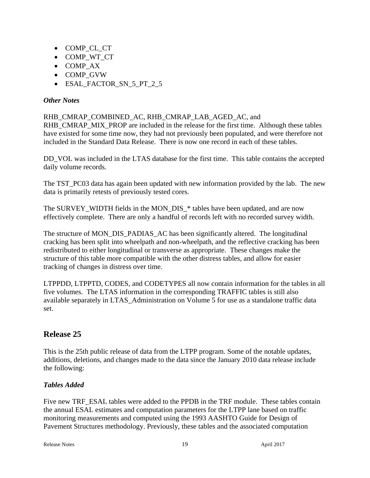- COMP\_CL\_CT
- COMP WT CT
- COMP AX
- COMP\_GVW
- ESAL FACTOR SN 5 PT 2 5

# *Other Notes*

# RHB\_CMRAP\_COMBINED\_AC, RHB\_CMRAP\_LAB\_AGED\_AC, and

RHB\_CMRAP\_MIX\_PROP are included in the release for the first time. Although these tables have existed for some time now, they had not previously been populated, and were therefore not included in the Standard Data Release. There is now one record in each of these tables.

DD\_VOL was included in the LTAS database for the first time. This table contains the accepted daily volume records.

The TST\_PC03 data has again been updated with new information provided by the lab. The new data is primarily retests of previously tested cores.

The SURVEY WIDTH fields in the MON DIS \* tables have been updated, and are now effectively complete. There are only a handful of records left with no recorded survey width.

The structure of MON\_DIS\_PADIAS\_AC has been significantly altered. The longitudinal cracking has been split into wheelpath and non-wheelpath, and the reflective cracking has been redistributed to either longitudinal or transverse as appropriate. These changes make the structure of this table more compatible with the other distress tables, and allow for easier tracking of changes in distress over time.

LTPPDD, LTPPTD, CODES, and CODETYPES all now contain information for the tables in all five volumes. The LTAS information in the corresponding TRAFFIC tables is still also available separately in LTAS\_Administration on Volume 5 for use as a standalone traffic data set.

# **Release 25**

This is the 25th public release of data from the LTPP program. Some of the notable updates, additions, deletions, and changes made to the data since the January 2010 data release include the following:

# *Tables Added*

Five new TRF\_ESAL tables were added to the PPDB in the TRF module. These tables contain the annual ESAL estimates and computation parameters for the LTPP lane based on traffic monitoring measurements and computed using the 1993 AASHTO Guide for Design of Pavement Structures methodology. Previously, these tables and the associated computation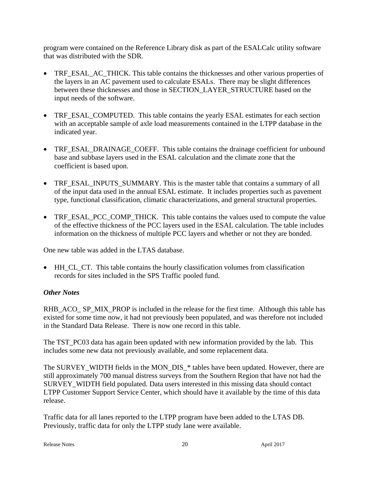program were contained on the Reference Library disk as part of the ESALCalc utility software that was distributed with the SDR.

- TRF\_ESAL\_AC\_THICK. This table contains the thicknesses and other various properties of the layers in an AC pavement used to calculate ESALs. There may be slight differences between these thicknesses and those in SECTION\_LAYER\_STRUCTURE based on the input needs of the software.
- TRF\_ESAL\_COMPUTED. This table contains the yearly ESAL estimates for each section with an acceptable sample of axle load measurements contained in the LTPP database in the indicated year.
- TRF\_ESAL\_DRAINAGE\_COEFF. This table contains the drainage coefficient for unbound base and subbase layers used in the ESAL calculation and the climate zone that the coefficient is based upon.
- TRF\_ESAL\_INPUTS\_SUMMARY. This is the master table that contains a summary of all of the input data used in the annual ESAL estimate. It includes properties such as pavement type, functional classification, climatic characterizations, and general structural properties.
- TRF\_ESAL\_PCC\_COMP\_THICK. This table contains the values used to compute the value of the effective thickness of the PCC layers used in the ESAL calculation. The table includes information on the thickness of multiple PCC layers and whether or not they are bonded.

One new table was added in the LTAS database.

 HH\_CL\_CT. This table contains the hourly classification volumes from classification records for sites included in the SPS Traffic pooled fund.

# *Other Notes*

RHB\_ACO\_ SP\_MIX\_PROP is included in the release for the first time. Although this table has existed for some time now, it had not previously been populated, and was therefore not included in the Standard Data Release. There is now one record in this table.

The TST\_PC03 data has again been updated with new information provided by the lab. This includes some new data not previously available, and some replacement data.

The SURVEY\_WIDTH fields in the MON\_DIS\_\* tables have been updated. However, there are still approximately 700 manual distress surveys from the Southern Region that have not had the SURVEY\_WIDTH field populated. Data users interested in this missing data should contact LTPP Customer Support Service Center, which should have it available by the time of this data release.

Traffic data for all lanes reported to the LTPP program have been added to the LTAS DB. Previously, traffic data for only the LTPP study lane were available.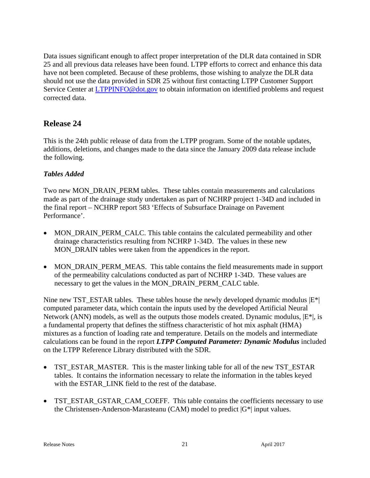Data issues significant enough to affect proper interpretation of the DLR data contained in SDR 25 and all previous data releases have been found. LTPP efforts to correct and enhance this data have not been completed. Because of these problems, those wishing to analyze the DLR data should not use the data provided in SDR 25 without first contacting LTPP Customer Support Service Center at **LTPPINFO@dot.gov** to obtain information on identified problems and request corrected data.

# **Release 24**

This is the 24th public release of data from the LTPP program. Some of the notable updates, additions, deletions, and changes made to the data since the January 2009 data release include the following.

# *Tables Added*

Two new MON\_DRAIN\_PERM tables. These tables contain measurements and calculations made as part of the drainage study undertaken as part of NCHRP project 1-34D and included in the final report – NCHRP report 583 'Effects of Subsurface Drainage on Pavement Performance'.

- MON DRAIN PERM CALC. This table contains the calculated permeability and other drainage characteristics resulting from NCHRP 1-34D. The values in these new MON DRAIN tables were taken from the appendices in the report.
- MON DRAIN PERM MEAS. This table contains the field measurements made in support of the permeability calculations conducted as part of NCHRP 1-34D. These values are necessary to get the values in the MON\_DRAIN\_PERM\_CALC table.

Nine new TST\_ESTAR tables. These tables house the newly developed dynamic modulus  $|E^*|$ computed parameter data, which contain the inputs used by the developed Artificial Neural Network (ANN) models, as well as the outputs those models created. Dynamic modulus,  $|E^*|$ , is a fundamental property that defines the stiffness characteristic of hot mix asphalt (HMA) mixtures as a function of loading rate and temperature. Details on the models and intermediate calculations can be found in the report *LTPP Computed Parameter: Dynamic Modulus* included on the LTPP Reference Library distributed with the SDR.

- TST\_ESTAR\_MASTER. This is the master linking table for all of the new TST\_ESTAR tables. It contains the information necessary to relate the information in the tables keyed with the ESTAR\_LINK field to the rest of the database.
- TST\_ESTAR\_GSTAR\_CAM\_COEFF. This table contains the coefficients necessary to use the Christensen-Anderson-Marasteanu (CAM) model to predict  $|G^*|$  input values.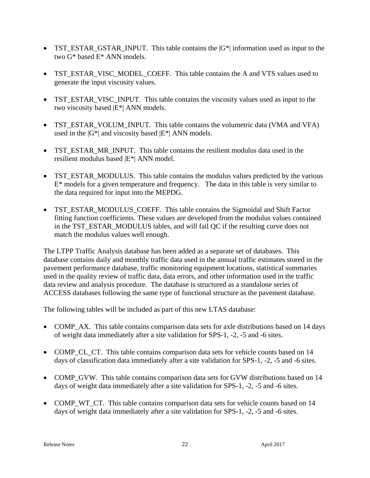- TST\_ESTAR\_GSTAR\_INPUT. This table contains the  $|G^*|$  information used as input to the two G\* based E\* ANN models.
- TST\_ESTAR\_VISC\_MODEL\_COEFF. This table contains the A and VTS values used to generate the input viscosity values.
- TST\_ESTAR\_VISC\_INPUT. This table contains the viscosity values used as input to the two viscosity based |E\*| ANN models.
- TST\_ESTAR\_VOLUM\_INPUT. This table contains the volumetric data (VMA and VFA) used in the  $|G^*|$  and viscosity based  $|E^*|$  ANN models.
- TST\_ESTAR\_MR\_INPUT. This table contains the resilient modulus data used in the resilient modulus based |E\*| ANN model.
- TST\_ESTAR\_MODULUS. This table contains the modulus values predicted by the various  $E^*$  models for a given temperature and frequency. The data in this table is very similar to the data required for input into the MEPDG.
- TST\_ESTAR\_MODULUS\_COEFF. This table contains the Sigmoidal and Shift Factor fitting function coefficients. These values are developed from the modulus values contained in the TST\_ESTAR\_MODULUS tables, and will fail QC if the resulting curve does not match the modulus values well enough.

The LTPP Traffic Analysis database has been added as a separate set of databases. This database contains daily and monthly traffic data used in the annual traffic estimates stored in the pavement performance database, traffic monitoring equipment locations, statistical summaries used in the quality review of traffic data, data errors, and other information used in the traffic data review and analysis procedure. The database is structured as a standalone series of ACCESS databases following the same type of functional structure as the pavement database.

The following tables will be included as part of this new LTAS database:

- COMP AX. This table contains comparison data sets for axle distributions based on 14 days of weight data immediately after a site validation for SPS-1, -2, -5 and -6 sites.
- COMP CL CT. This table contains comparison data sets for vehicle counts based on 14 days of classification data immediately after a site validation for SPS-1, -2, -5 and -6 sites.
- COMP\_GVW. This table contains comparison data sets for GVW distributions based on 14 days of weight data immediately after a site validation for SPS-1, -2, -5 and -6 sites.
- COMP WT CT. This table contains comparison data sets for vehicle counts based on 14 days of weight data immediately after a site validation for SPS-1, -2, -5 and -6 sites.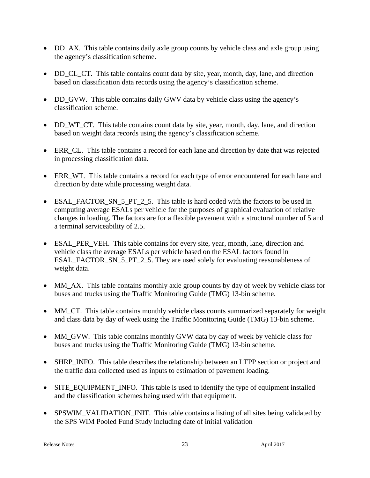- DD\_AX. This table contains daily axle group counts by vehicle class and axle group using the agency's classification scheme.
- DD CL CT. This table contains count data by site, year, month, day, lane, and direction based on classification data records using the agency's classification scheme.
- DD\_GVW. This table contains daily GWV data by vehicle class using the agency's classification scheme.
- DD WT CT. This table contains count data by site, year, month, day, lane, and direction based on weight data records using the agency's classification scheme.
- ERR\_CL. This table contains a record for each lane and direction by date that was rejected in processing classification data.
- ERR\_WT. This table contains a record for each type of error encountered for each lane and direction by date while processing weight data.
- ESAL\_FACTOR\_SN\_5\_PT\_2\_5. This table is hard coded with the factors to be used in computing average ESALs per vehicle for the purposes of graphical evaluation of relative changes in loading. The factors are for a flexible pavement with a structural number of 5 and a terminal serviceability of 2.5.
- ESAL PER VEH. This table contains for every site, year, month, lane, direction and vehicle class the average ESALs per vehicle based on the ESAL factors found in ESAL\_FACTOR\_SN\_5\_PT\_2\_5. They are used solely for evaluating reasonableness of weight data.
- MM\_AX. This table contains monthly axle group counts by day of week by vehicle class for buses and trucks using the Traffic Monitoring Guide (TMG) 13-bin scheme.
- MM\_CT. This table contains monthly vehicle class counts summarized separately for weight and class data by day of week using the Traffic Monitoring Guide (TMG) 13-bin scheme.
- MM\_GVW. This table contains monthly GVW data by day of week by vehicle class for buses and trucks using the Traffic Monitoring Guide (TMG) 13-bin scheme.
- SHRP INFO. This table describes the relationship between an LTPP section or project and the traffic data collected used as inputs to estimation of pavement loading.
- SITE\_EQUIPMENT\_INFO. This table is used to identify the type of equipment installed and the classification schemes being used with that equipment.
- SPSWIM\_VALIDATION\_INIT. This table contains a listing of all sites being validated by the SPS WIM Pooled Fund Study including date of initial validation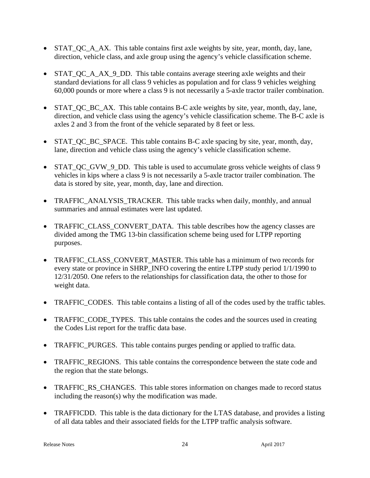- STAT QC A AX. This table contains first axle weights by site, year, month, day, lane, direction, vehicle class, and axle group using the agency's vehicle classification scheme.
- STAT QC A AX 9 DD. This table contains average steering axle weights and their standard deviations for all class 9 vehicles as population and for class 9 vehicles weighing 60,000 pounds or more where a class 9 is not necessarily a 5-axle tractor trailer combination.
- STAT QC BC AX. This table contains B-C axle weights by site, year, month, day, lane, direction, and vehicle class using the agency's vehicle classification scheme. The B-C axle is axles 2 and 3 from the front of the vehicle separated by 8 feet or less.
- STAT QC BC SPACE. This table contains B-C axle spacing by site, year, month, day, lane, direction and vehicle class using the agency's vehicle classification scheme.
- STAT\_QC\_GVW\_9\_DD. This table is used to accumulate gross vehicle weights of class 9 vehicles in kips where a class 9 is not necessarily a 5-axle tractor trailer combination. The data is stored by site, year, month, day, lane and direction.
- TRAFFIC ANALYSIS TRACKER. This table tracks when daily, monthly, and annual summaries and annual estimates were last updated.
- TRAFFIC CLASS CONVERT DATA. This table describes how the agency classes are divided among the TMG 13-bin classification scheme being used for LTPP reporting purposes.
- TRAFFIC CLASS CONVERT MASTER. This table has a minimum of two records for every state or province in SHRP\_INFO covering the entire LTPP study period 1/1/1990 to 12/31/2050. One refers to the relationships for classification data, the other to those for weight data.
- TRAFFIC CODES. This table contains a listing of all of the codes used by the traffic tables.
- TRAFFIC CODE TYPES. This table contains the codes and the sources used in creating the Codes List report for the traffic data base.
- TRAFFIC\_PURGES. This table contains purges pending or applied to traffic data.
- TRAFFIC REGIONS. This table contains the correspondence between the state code and the region that the state belongs.
- TRAFFIC\_RS\_CHANGES. This table stores information on changes made to record status including the reason(s) why the modification was made.
- TRAFFICDD. This table is the data dictionary for the LTAS database, and provides a listing of all data tables and their associated fields for the LTPP traffic analysis software.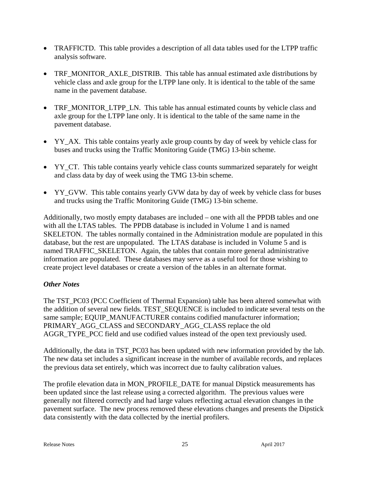- TRAFFICTD. This table provides a description of all data tables used for the LTPP traffic analysis software.
- TRF MONITOR AXLE DISTRIB. This table has annual estimated axle distributions by vehicle class and axle group for the LTPP lane only. It is identical to the table of the same name in the pavement database.
- TRF MONITOR LTPP LN. This table has annual estimated counts by vehicle class and axle group for the LTPP lane only. It is identical to the table of the same name in the pavement database.
- YY\_AX. This table contains yearly axle group counts by day of week by vehicle class for buses and trucks using the Traffic Monitoring Guide (TMG) 13-bin scheme.
- YY CT. This table contains yearly vehicle class counts summarized separately for weight and class data by day of week using the TMG 13-bin scheme.
- YY\_GVW. This table contains yearly GVW data by day of week by vehicle class for buses and trucks using the Traffic Monitoring Guide (TMG) 13-bin scheme.

Additionally, two mostly empty databases are included – one with all the PPDB tables and one with all the LTAS tables. The PPDB database is included in Volume 1 and is named SKELETON. The tables normally contained in the Administration module are populated in this database, but the rest are unpopulated. The LTAS database is included in Volume 5 and is named TRAFFIC\_SKELETON. Again, the tables that contain more general administrative information are populated. These databases may serve as a useful tool for those wishing to create project level databases or create a version of the tables in an alternate format.

# *Other Notes*

The TST\_PC03 (PCC Coefficient of Thermal Expansion) table has been altered somewhat with the addition of several new fields. TEST\_SEQUENCE is included to indicate several tests on the same sample; EQUIP\_MANUFACTURER contains codified manufacturer information; PRIMARY\_AGG\_CLASS and SECONDARY\_AGG\_CLASS replace the old AGGR\_TYPE\_PCC field and use codified values instead of the open text previously used.

Additionally, the data in TST\_PC03 has been updated with new information provided by the lab. The new data set includes a significant increase in the number of available records, and replaces the previous data set entirely, which was incorrect due to faulty calibration values.

The profile elevation data in MON\_PROFILE\_DATE for manual Dipstick measurements has been updated since the last release using a corrected algorithm. The previous values were generally not filtered correctly and had large values reflecting actual elevation changes in the pavement surface. The new process removed these elevations changes and presents the Dipstick data consistently with the data collected by the inertial profilers.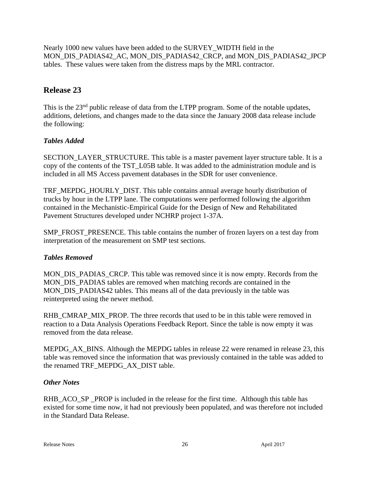Nearly 1000 new values have been added to the SURVEY\_WIDTH field in the MON\_DIS\_PADIAS42\_AC, MON\_DIS\_PADIAS42\_CRCP, and MON\_DIS\_PADIAS42\_JPCP tables. These values were taken from the distress maps by the MRL contractor.

# **Release 23**

This is the 23<sup>nd</sup> public release of data from the LTPP program. Some of the notable updates, additions, deletions, and changes made to the data since the January 2008 data release include the following:

# *Tables Added*

SECTION LAYER STRUCTURE. This table is a master pavement layer structure table. It is a copy of the contents of the TST\_L05B table. It was added to the administration module and is included in all MS Access pavement databases in the SDR for user convenience.

TRF\_MEPDG\_HOURLY\_DIST. This table contains annual average hourly distribution of trucks by hour in the LTPP lane. The computations were performed following the algorithm contained in the Mechanistic-Empirical Guide for the Design of New and Rehabilitated Pavement Structures developed under NCHRP project 1-37A.

SMP\_FROST\_PRESENCE. This table contains the number of frozen layers on a test day from interpretation of the measurement on SMP test sections.

# *Tables Removed*

MON\_DIS\_PADIAS\_CRCP. This table was removed since it is now empty. Records from the MON DIS PADIAS tables are removed when matching records are contained in the MON\_DIS\_PADIAS42 tables. This means all of the data previously in the table was reinterpreted using the newer method.

RHB\_CMRAP\_MIX\_PROP. The three records that used to be in this table were removed in reaction to a Data Analysis Operations Feedback Report. Since the table is now empty it was removed from the data release.

MEPDG\_AX\_BINS. Although the MEPDG tables in release 22 were renamed in release 23, this table was removed since the information that was previously contained in the table was added to the renamed TRF\_MEPDG\_AX\_DIST table.

# *Other Notes*

RHB\_ACO\_SP \_PROP is included in the release for the first time. Although this table has existed for some time now, it had not previously been populated, and was therefore not included in the Standard Data Release.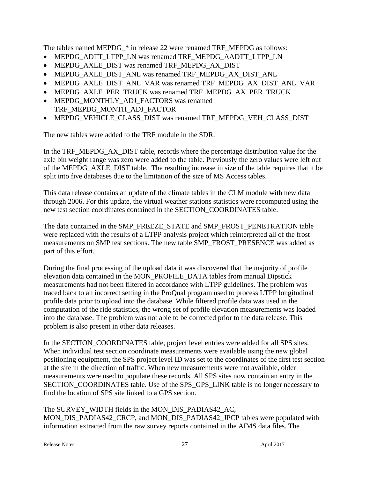The tables named MEPDG\_\* in release 22 were renamed TRF\_MEPDG as follows:

- MEPDG\_ADTT\_LTPP\_LN was renamed TRF\_MEPDG\_AADTT\_LTPP\_LN
- MEPDG\_AXLE\_DIST was renamed TRF\_MEPDG\_AX\_DIST
- MEPDG\_AXLE\_DIST\_ANL was renamed TRF\_MEPDG\_AX\_DIST\_ANL
- MEPDG\_AXLE\_DIST\_ANL\_VAR was renamed TRF\_MEPDG\_AX\_DIST\_ANL\_VAR
- MEPDG\_AXLE\_PER\_TRUCK was renamed TRF\_MEPDG\_AX\_PER\_TRUCK
- MEPDG\_MONTHLY\_ADJ\_FACTORS was renamed TRF\_MEPDG\_MONTH\_ADJ\_FACTOR
- MEPDG\_VEHICLE\_CLASS\_DIST was renamed TRF\_MEPDG\_VEH\_CLASS\_DIST

The new tables were added to the TRF module in the SDR.

In the TRF\_MEPDG\_AX\_DIST table, records where the percentage distribution value for the axle bin weight range was zero were added to the table. Previously the zero values were left out of the MEPDG\_AXLE\_DIST table. The resulting increase in size of the table requires that it be split into five databases due to the limitation of the size of MS Access tables.

This data release contains an update of the climate tables in the CLM module with new data through 2006. For this update, the virtual weather stations statistics were recomputed using the new test section coordinates contained in the SECTION\_COORDINATES table.

The data contained in the SMP\_FREEZE\_STATE and SMP\_FROST\_PENETRATION table were replaced with the results of a LTPP analysis project which reinterpreted all of the frost measurements on SMP test sections. The new table SMP\_FROST\_PRESENCE was added as part of this effort.

During the final processing of the upload data it was discovered that the majority of profile elevation data contained in the MON\_PROFILE\_DATA tables from manual Dipstick measurements had not been filtered in accordance with LTPP guidelines. The problem was traced back to an incorrect setting in the ProQual program used to process LTPP longitudinal profile data prior to upload into the database. While filtered profile data was used in the computation of the ride statistics, the wrong set of profile elevation measurements was loaded into the database. The problem was not able to be corrected prior to the data release. This problem is also present in other data releases.

In the SECTION\_COORDINATES table, project level entries were added for all SPS sites. When individual test section coordinate measurements were available using the new global positioning equipment, the SPS project level ID was set to the coordinates of the first test section at the site in the direction of traffic. When new measurements were not available, older measurements were used to populate these records. All SPS sites now contain an entry in the SECTION\_COORDINATES table. Use of the SPS\_GPS\_LINK table is no longer necessary to find the location of SPS site linked to a GPS section.

The SURVEY WIDTH fields in the MON\_DIS\_PADIAS42\_AC, MON\_DIS\_PADIAS42\_CRCP, and MON\_DIS\_PADIAS42\_JPCP tables were populated with information extracted from the raw survey reports contained in the AIMS data files. The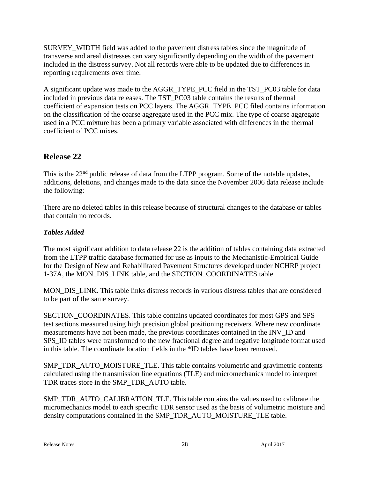SURVEY\_WIDTH field was added to the pavement distress tables since the magnitude of transverse and areal distresses can vary significantly depending on the width of the pavement included in the distress survey. Not all records were able to be updated due to differences in reporting requirements over time.

A significant update was made to the AGGR\_TYPE\_PCC field in the TST\_PC03 table for data included in previous data releases. The TST\_PC03 table contains the results of thermal coefficient of expansion tests on PCC layers. The AGGR\_TYPE\_PCC filed contains information on the classification of the coarse aggregate used in the PCC mix. The type of coarse aggregate used in a PCC mixture has been a primary variable associated with differences in the thermal coefficient of PCC mixes.

# **Release 22**

This is the 22<sup>nd</sup> public release of data from the LTPP program. Some of the notable updates, additions, deletions, and changes made to the data since the November 2006 data release include the following:

There are no deleted tables in this release because of structural changes to the database or tables that contain no records.

# *Tables Added*

The most significant addition to data release 22 is the addition of tables containing data extracted from the LTPP traffic database formatted for use as inputs to the Mechanistic-Empirical Guide for the Design of New and Rehabilitated Pavement Structures developed under NCHRP project 1-37A, the MON\_DIS\_LINK table, and the SECTION\_COORDINATES table.

MON DIS LINK. This table links distress records in various distress tables that are considered to be part of the same survey.

SECTION\_COORDINATES. This table contains updated coordinates for most GPS and SPS test sections measured using high precision global positioning receivers. Where new coordinate measurements have not been made, the previous coordinates contained in the INV\_ID and SPS ID tables were transformed to the new fractional degree and negative longitude format used in this table. The coordinate location fields in the \*ID tables have been removed.

SMP\_TDR\_AUTO\_MOISTURE\_TLE. This table contains volumetric and gravimetric contents calculated using the transmission line equations (TLE) and micromechanics model to interpret TDR traces store in the SMP\_TDR\_AUTO table.

SMP\_TDR\_AUTO\_CALIBRATION\_TLE. This table contains the values used to calibrate the micromechanics model to each specific TDR sensor used as the basis of volumetric moisture and density computations contained in the SMP\_TDR\_AUTO\_MOISTURE\_TLE table.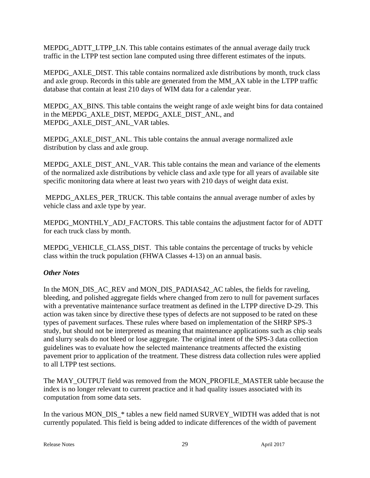MEPDG\_ADTT\_LTPP\_LN. This table contains estimates of the annual average daily truck traffic in the LTPP test section lane computed using three different estimates of the inputs.

MEPDG\_AXLE\_DIST. This table contains normalized axle distributions by month, truck class and axle group. Records in this table are generated from the MM\_AX table in the LTPP traffic database that contain at least 210 days of WIM data for a calendar year.

MEPDG\_AX\_BINS. This table contains the weight range of axle weight bins for data contained in the MEPDG\_AXLE\_DIST, MEPDG\_AXLE\_DIST\_ANL, and MEPDG\_AXLE\_DIST\_ANL\_VAR tables.

MEPDG\_AXLE\_DIST\_ANL. This table contains the annual average normalized axle distribution by class and axle group.

MEPDG\_AXLE\_DIST\_ANL\_VAR. This table contains the mean and variance of the elements of the normalized axle distributions by vehicle class and axle type for all years of available site specific monitoring data where at least two years with 210 days of weight data exist.

MEPDG\_AXLES\_PER\_TRUCK. This table contains the annual average number of axles by vehicle class and axle type by year.

MEPDG\_MONTHLY\_ADJ\_FACTORS. This table contains the adjustment factor for of ADTT for each truck class by month.

MEPDG\_VEHICLE\_CLASS\_DIST. This table contains the percentage of trucks by vehicle class within the truck population (FHWA Classes 4-13) on an annual basis.

# *Other Notes*

In the MON\_DIS\_AC\_REV and MON\_DIS\_PADIAS42\_AC tables, the fields for raveling, bleeding, and polished aggregate fields where changed from zero to null for pavement surfaces with a preventative maintenance surface treatment as defined in the LTPP directive D-29. This action was taken since by directive these types of defects are not supposed to be rated on these types of pavement surfaces. These rules where based on implementation of the SHRP SPS-3 study, but should not be interpreted as meaning that maintenance applications such as chip seals and slurry seals do not bleed or lose aggregate. The original intent of the SPS-3 data collection guidelines was to evaluate how the selected maintenance treatments affected the existing pavement prior to application of the treatment. These distress data collection rules were applied to all LTPP test sections.

The MAY\_OUTPUT field was removed from the MON\_PROFILE\_MASTER table because the index is no longer relevant to current practice and it had quality issues associated with its computation from some data sets.

In the various MON\_DIS\_\* tables a new field named SURVEY\_WIDTH was added that is not currently populated. This field is being added to indicate differences of the width of pavement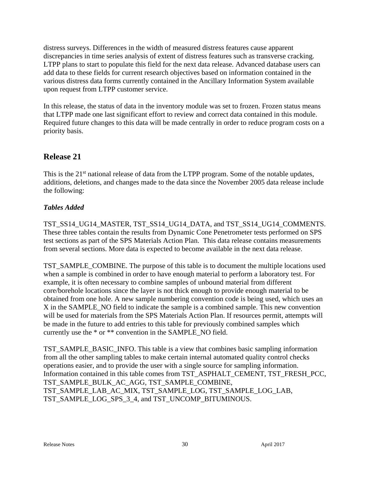distress surveys. Differences in the width of measured distress features cause apparent discrepancies in time series analysis of extent of distress features such as transverse cracking. LTPP plans to start to populate this field for the next data release. Advanced database users can add data to these fields for current research objectives based on information contained in the various distress data forms currently contained in the Ancillary Information System available upon request from LTPP customer service.

In this release, the status of data in the inventory module was set to frozen. Frozen status means that LTPP made one last significant effort to review and correct data contained in this module. Required future changes to this data will be made centrally in order to reduce program costs on a priority basis.

# **Release 21**

This is the  $21<sup>st</sup>$  national release of data from the LTPP program. Some of the notable updates, additions, deletions, and changes made to the data since the November 2005 data release include the following:

# *Tables Added*

TST\_SS14\_UG14\_MASTER, TST\_SS14\_UG14\_DATA, and TST\_SS14\_UG14\_COMMENTS. These three tables contain the results from Dynamic Cone Penetrometer tests performed on SPS test sections as part of the SPS Materials Action Plan. This data release contains measurements from several sections. More data is expected to become available in the next data release.

TST\_SAMPLE\_COMBINE. The purpose of this table is to document the multiple locations used when a sample is combined in order to have enough material to perform a laboratory test. For example, it is often necessary to combine samples of unbound material from different core/borehole locations since the layer is not thick enough to provide enough material to be obtained from one hole. A new sample numbering convention code is being used, which uses an X in the SAMPLE\_NO field to indicate the sample is a combined sample. This new convention will be used for materials from the SPS Materials Action Plan. If resources permit, attempts will be made in the future to add entries to this table for previously combined samples which currently use the \* or \*\* convention in the SAMPLE\_NO field.

TST\_SAMPLE\_BASIC\_INFO. This table is a view that combines basic sampling information from all the other sampling tables to make certain internal automated quality control checks operations easier, and to provide the user with a single source for sampling information. Information contained in this table comes from TST\_ASPHALT\_CEMENT, TST\_FRESH\_PCC, TST\_SAMPLE\_BULK\_AC\_AGG, TST\_SAMPLE\_COMBINE, TST\_SAMPLE\_LAB\_AC\_MIX, TST\_SAMPLE\_LOG, TST\_SAMPLE\_LOG\_LAB, TST\_SAMPLE\_LOG\_SPS\_3\_4, and TST\_UNCOMP\_BITUMINOUS.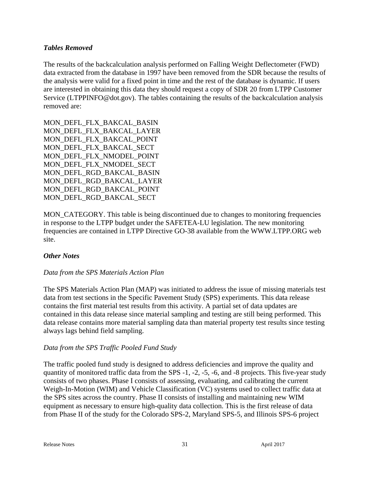#### *Tables Removed*

The results of the backcalculation analysis performed on Falling Weight Deflectometer (FWD) data extracted from the database in 1997 have been removed from the SDR because the results of the analysis were valid for a fixed point in time and the rest of the database is dynamic. If users are interested in obtaining this data they should request a copy of SDR 20 from LTPP Customer Service (LTPPINFO@dot.gov). The tables containing the results of the backcalculation analysis removed are:

MON\_DEFL\_FLX\_BAKCAL\_BASIN MON\_DEFL\_FLX\_BAKCAL\_LAYER MON\_DEFL\_FLX\_BAKCAL\_POINT MON DEFL\_FLX\_BAKCAL\_SECT MON\_DEFL\_FLX\_NMODEL\_POINT MON\_DEFL\_FLX\_NMODEL\_SECT MON\_DEFL\_RGD\_BAKCAL\_BASIN MON\_DEFL\_RGD\_BAKCAL\_LAYER MON\_DEFL\_RGD\_BAKCAL\_POINT MON\_DEFL\_RGD\_BAKCAL\_SECT

MON\_CATEGORY. This table is being discontinued due to changes to monitoring frequencies in response to the LTPP budget under the SAFETEA-LU legislation. The new monitoring frequencies are contained in LTPP Directive GO-38 available from the WWW.LTPP.ORG web site.

# *Other Notes*

# *Data from the SPS Materials Action Plan*

The SPS Materials Action Plan (MAP) was initiated to address the issue of missing materials test data from test sections in the Specific Pavement Study (SPS) experiments. This data release contains the first material test results from this activity. A partial set of data updates are contained in this data release since material sampling and testing are still being performed. This data release contains more material sampling data than material property test results since testing always lags behind field sampling.

#### *Data from the SPS Traffic Pooled Fund Study*

The traffic pooled fund study is designed to address deficiencies and improve the quality and quantity of monitored traffic data from the SPS -1, -2, -5, -6, and -8 projects. This five-year study consists of two phases. Phase I consists of assessing, evaluating, and calibrating the current Weigh-In-Motion (WIM) and Vehicle Classification (VC) systems used to collect traffic data at the SPS sites across the country. Phase II consists of installing and maintaining new WIM equipment as necessary to ensure high-quality data collection. This is the first release of data from Phase II of the study for the Colorado SPS-2, Maryland SPS-5, and Illinois SPS-6 project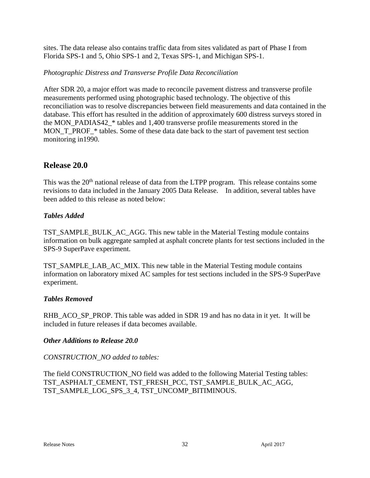sites. The data release also contains traffic data from sites validated as part of Phase I from Florida SPS-1 and 5, Ohio SPS-1 and 2, Texas SPS-1, and Michigan SPS-1.

#### *Photographic Distress and Transverse Profile Data Reconciliation*

After SDR 20, a major effort was made to reconcile pavement distress and transverse profile measurements performed using photographic based technology. The objective of this reconciliation was to resolve discrepancies between field measurements and data contained in the database. This effort has resulted in the addition of approximately 600 distress surveys stored in the MON\_PADIAS42\_\* tables and 1,400 transverse profile measurements stored in the MON\_T\_PROF\_\* tables. Some of these data date back to the start of pavement test section monitoring in1990.

# **Release 20.0**

This was the 20<sup>th</sup> national release of data from the LTPP program. This release contains some revisions to data included in the January 2005 Data Release. In addition, several tables have been added to this release as noted below:

#### *Tables Added*

TST\_SAMPLE\_BULK\_AC\_AGG. This new table in the Material Testing module contains information on bulk aggregate sampled at asphalt concrete plants for test sections included in the SPS-9 SuperPave experiment.

TST\_SAMPLE\_LAB\_AC\_MIX. This new table in the Material Testing module contains information on laboratory mixed AC samples for test sections included in the SPS-9 SuperPave experiment.

#### *Tables Removed*

RHB\_ACO\_SP\_PROP. This table was added in SDR 19 and has no data in it yet. It will be included in future releases if data becomes available.

#### *Other Additions to Release 20.0*

# *CONSTRUCTION\_NO added to tables:*

The field CONSTRUCTION\_NO field was added to the following Material Testing tables: TST\_ASPHALT\_CEMENT, TST\_FRESH\_PCC, TST\_SAMPLE\_BULK\_AC\_AGG, TST\_SAMPLE\_LOG\_SPS\_3\_4, TST\_UNCOMP\_BITIMINOUS.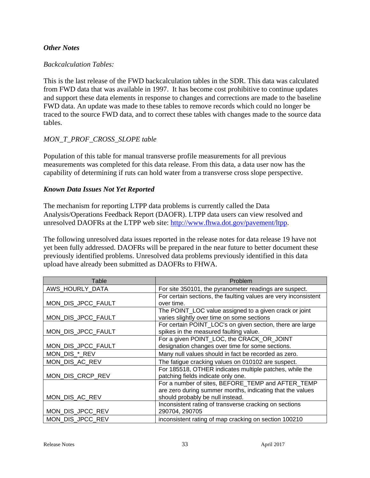#### *Other Notes*

#### *Backcalculation Tables:*

This is the last release of the FWD backcalculation tables in the SDR. This data was calculated from FWD data that was available in 1997. It has become cost prohibitive to continue updates and support these data elements in response to changes and corrections are made to the baseline FWD data. An update was made to these tables to remove records which could no longer be traced to the source FWD data, and to correct these tables with changes made to the source data tables.

#### *MON\_T\_PROF\_CROSS\_SLOPE table*

Population of this table for manual transverse profile measurements for all previous measurements was completed for this data release. From this data, a data user now has the capability of determining if ruts can hold water from a transverse cross slope perspective.

#### *Known Data Issues Not Yet Reported*

The mechanism for reporting LTPP data problems is currently called the Data Analysis/Operations Feedback Report (DAOFR). LTPP data users can view resolved and unresolved DAOFRs at the LTPP web site: http://www.fhwa.dot.gov/pavement/ltpp.

The following unresolved data issues reported in the release notes for data release 19 have not yet been fully addressed. DAOFRs will be prepared in the near future to better document these previously identified problems. Unresolved data problems previously identified in this data upload have already been submitted as DAOFRs to FHWA.

| Table              | Problem                                                         |
|--------------------|-----------------------------------------------------------------|
| AWS_HOURLY_DATA    | For site 350101, the pyranometer readings are suspect.          |
|                    | For certain sections, the faulting values are very inconsistent |
| MON_DIS_JPCC_FAULT | over time.                                                      |
|                    | The POINT_LOC value assigned to a given crack or joint          |
| MON_DIS_JPCC_FAULT | varies slightly over time on some sections                      |
|                    | For certain POINT_LOC's on given section, there are large       |
| MON_DIS_JPCC_FAULT | spikes in the measured faulting value.                          |
|                    | For a given POINT_LOC, the CRACK_OR_JOINT                       |
| MON_DIS_JPCC_FAULT | designation changes over time for some sections.                |
| MON_DIS_*_REV      | Many null values should in fact be recorded as zero.            |
| MON_DIS_AC_REV     | The fatigue cracking values on 010102 are suspect.              |
|                    | For 185518, OTHER indicates multiple patches, while the         |
| MON_DIS_CRCP_REV   | patching fields indicate only one.                              |
|                    | For a number of sites, BEFORE TEMP and AFTER TEMP               |
|                    | are zero during summer months, indicating that the values       |
| MON_DIS_AC_REV     | should probably be null instead.                                |
|                    | Inconsistent rating of transverse cracking on sections          |
| MON_DIS_JPCC_REV   | 290704, 290705                                                  |
| MON_DIS_JPCC_REV   | inconsistent rating of map cracking on section 100210           |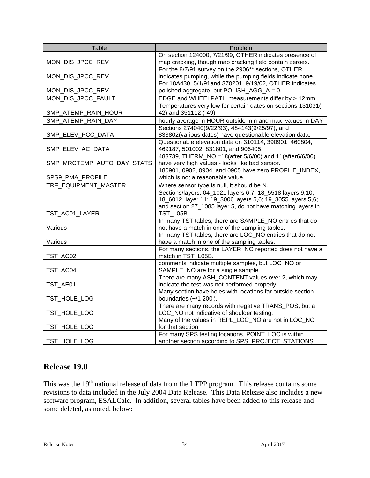| On section 124000, 7/21/99, OTHER indicates presence of<br>map cracking, though map cracking field contain zeroes.<br>MON_DIS_JPCC_REV<br>For the 8/7/91 survey on the 2906** sections, OTHER<br>indicates pumping, while the pumping fields indicate none.<br>MON_DIS_JPCC_REV<br>For 18A430, 5/1/91and 370201, 9/19/02, OTHER indicates<br>polished aggregate, but POLISH_AGG_A = 0.<br>MON_DIS_JPCC_REV<br>MON_DIS_JPCC_FAULT<br>EDGE and WHEELPATH measurements differ by > 12mm<br>Temperatures very low for certain dates on sections 131031(-<br>42) and 351112 (-49)<br>SMP_ATEMP_RAIN_HOUR<br>hourly average in HOUR outside min and max values in DAY<br>SMP_ATEMP_RAIN_DAY<br>Sections 274040(9/22/93), 484143(9/25/97), and<br>SMP_ELEV_PCC_DATA<br>833802(various dates) have questionable elevation data.<br>Questionable elevation data on 310114, 390901, 460804,<br>469187, 501002, 831801, and 906405.<br>SMP_ELEV_AC_DATA<br>483739, THERM_NO =18(after 5/6/00) and 11(after6/6/00)<br>have very high values - looks like bad sensor.<br>SMP_MRCTEMP_AUTO_DAY_STATS<br>180901, 0902, 0904, and 0905 have zero PROFILE_INDEX,<br>which is not a reasonable value.<br>SPS9_PMA_PROFILE<br>TRF_EQUIPMENT_MASTER<br>Where sensor type is null, it should be N.<br>Sections/layers: 04_1021 layers 6,7; 18_5518 layers 9,10;<br>18_6012, layer 11; 19_3006 layers 5,6; 19_3055 layers 5,6; | Table | Problem |
|----------------------------------------------------------------------------------------------------------------------------------------------------------------------------------------------------------------------------------------------------------------------------------------------------------------------------------------------------------------------------------------------------------------------------------------------------------------------------------------------------------------------------------------------------------------------------------------------------------------------------------------------------------------------------------------------------------------------------------------------------------------------------------------------------------------------------------------------------------------------------------------------------------------------------------------------------------------------------------------------------------------------------------------------------------------------------------------------------------------------------------------------------------------------------------------------------------------------------------------------------------------------------------------------------------------------------------------------------------------------------------------------------------|-------|---------|
|                                                                                                                                                                                                                                                                                                                                                                                                                                                                                                                                                                                                                                                                                                                                                                                                                                                                                                                                                                                                                                                                                                                                                                                                                                                                                                                                                                                                          |       |         |
|                                                                                                                                                                                                                                                                                                                                                                                                                                                                                                                                                                                                                                                                                                                                                                                                                                                                                                                                                                                                                                                                                                                                                                                                                                                                                                                                                                                                          |       |         |
|                                                                                                                                                                                                                                                                                                                                                                                                                                                                                                                                                                                                                                                                                                                                                                                                                                                                                                                                                                                                                                                                                                                                                                                                                                                                                                                                                                                                          |       |         |
|                                                                                                                                                                                                                                                                                                                                                                                                                                                                                                                                                                                                                                                                                                                                                                                                                                                                                                                                                                                                                                                                                                                                                                                                                                                                                                                                                                                                          |       |         |
|                                                                                                                                                                                                                                                                                                                                                                                                                                                                                                                                                                                                                                                                                                                                                                                                                                                                                                                                                                                                                                                                                                                                                                                                                                                                                                                                                                                                          |       |         |
|                                                                                                                                                                                                                                                                                                                                                                                                                                                                                                                                                                                                                                                                                                                                                                                                                                                                                                                                                                                                                                                                                                                                                                                                                                                                                                                                                                                                          |       |         |
|                                                                                                                                                                                                                                                                                                                                                                                                                                                                                                                                                                                                                                                                                                                                                                                                                                                                                                                                                                                                                                                                                                                                                                                                                                                                                                                                                                                                          |       |         |
|                                                                                                                                                                                                                                                                                                                                                                                                                                                                                                                                                                                                                                                                                                                                                                                                                                                                                                                                                                                                                                                                                                                                                                                                                                                                                                                                                                                                          |       |         |
|                                                                                                                                                                                                                                                                                                                                                                                                                                                                                                                                                                                                                                                                                                                                                                                                                                                                                                                                                                                                                                                                                                                                                                                                                                                                                                                                                                                                          |       |         |
|                                                                                                                                                                                                                                                                                                                                                                                                                                                                                                                                                                                                                                                                                                                                                                                                                                                                                                                                                                                                                                                                                                                                                                                                                                                                                                                                                                                                          |       |         |
|                                                                                                                                                                                                                                                                                                                                                                                                                                                                                                                                                                                                                                                                                                                                                                                                                                                                                                                                                                                                                                                                                                                                                                                                                                                                                                                                                                                                          |       |         |
|                                                                                                                                                                                                                                                                                                                                                                                                                                                                                                                                                                                                                                                                                                                                                                                                                                                                                                                                                                                                                                                                                                                                                                                                                                                                                                                                                                                                          |       |         |
|                                                                                                                                                                                                                                                                                                                                                                                                                                                                                                                                                                                                                                                                                                                                                                                                                                                                                                                                                                                                                                                                                                                                                                                                                                                                                                                                                                                                          |       |         |
|                                                                                                                                                                                                                                                                                                                                                                                                                                                                                                                                                                                                                                                                                                                                                                                                                                                                                                                                                                                                                                                                                                                                                                                                                                                                                                                                                                                                          |       |         |
|                                                                                                                                                                                                                                                                                                                                                                                                                                                                                                                                                                                                                                                                                                                                                                                                                                                                                                                                                                                                                                                                                                                                                                                                                                                                                                                                                                                                          |       |         |
|                                                                                                                                                                                                                                                                                                                                                                                                                                                                                                                                                                                                                                                                                                                                                                                                                                                                                                                                                                                                                                                                                                                                                                                                                                                                                                                                                                                                          |       |         |
|                                                                                                                                                                                                                                                                                                                                                                                                                                                                                                                                                                                                                                                                                                                                                                                                                                                                                                                                                                                                                                                                                                                                                                                                                                                                                                                                                                                                          |       |         |
|                                                                                                                                                                                                                                                                                                                                                                                                                                                                                                                                                                                                                                                                                                                                                                                                                                                                                                                                                                                                                                                                                                                                                                                                                                                                                                                                                                                                          |       |         |
|                                                                                                                                                                                                                                                                                                                                                                                                                                                                                                                                                                                                                                                                                                                                                                                                                                                                                                                                                                                                                                                                                                                                                                                                                                                                                                                                                                                                          |       |         |
|                                                                                                                                                                                                                                                                                                                                                                                                                                                                                                                                                                                                                                                                                                                                                                                                                                                                                                                                                                                                                                                                                                                                                                                                                                                                                                                                                                                                          |       |         |
|                                                                                                                                                                                                                                                                                                                                                                                                                                                                                                                                                                                                                                                                                                                                                                                                                                                                                                                                                                                                                                                                                                                                                                                                                                                                                                                                                                                                          |       |         |
| and section 27_1085 layer 5, do not have matching layers in                                                                                                                                                                                                                                                                                                                                                                                                                                                                                                                                                                                                                                                                                                                                                                                                                                                                                                                                                                                                                                                                                                                                                                                                                                                                                                                                              |       |         |
| TST_L05B<br>TST_AC01_LAYER                                                                                                                                                                                                                                                                                                                                                                                                                                                                                                                                                                                                                                                                                                                                                                                                                                                                                                                                                                                                                                                                                                                                                                                                                                                                                                                                                                               |       |         |
| In many TST tables, there are SAMPLE_NO entries that do                                                                                                                                                                                                                                                                                                                                                                                                                                                                                                                                                                                                                                                                                                                                                                                                                                                                                                                                                                                                                                                                                                                                                                                                                                                                                                                                                  |       |         |
| Various<br>not have a match in one of the sampling tables.                                                                                                                                                                                                                                                                                                                                                                                                                                                                                                                                                                                                                                                                                                                                                                                                                                                                                                                                                                                                                                                                                                                                                                                                                                                                                                                                               |       |         |
| In many TST tables, there are LOC_NO entries that do not                                                                                                                                                                                                                                                                                                                                                                                                                                                                                                                                                                                                                                                                                                                                                                                                                                                                                                                                                                                                                                                                                                                                                                                                                                                                                                                                                 |       |         |
| have a match in one of the sampling tables.<br>Various                                                                                                                                                                                                                                                                                                                                                                                                                                                                                                                                                                                                                                                                                                                                                                                                                                                                                                                                                                                                                                                                                                                                                                                                                                                                                                                                                   |       |         |
| For many sections, the LAYER_NO reported does not have a                                                                                                                                                                                                                                                                                                                                                                                                                                                                                                                                                                                                                                                                                                                                                                                                                                                                                                                                                                                                                                                                                                                                                                                                                                                                                                                                                 |       |         |
| match in TST L05B.<br>TST_AC02                                                                                                                                                                                                                                                                                                                                                                                                                                                                                                                                                                                                                                                                                                                                                                                                                                                                                                                                                                                                                                                                                                                                                                                                                                                                                                                                                                           |       |         |
| comments indicate multiple samples, but LOC_NO or                                                                                                                                                                                                                                                                                                                                                                                                                                                                                                                                                                                                                                                                                                                                                                                                                                                                                                                                                                                                                                                                                                                                                                                                                                                                                                                                                        |       |         |
| SAMPLE_NO are for a single sample.<br>TST_AC04                                                                                                                                                                                                                                                                                                                                                                                                                                                                                                                                                                                                                                                                                                                                                                                                                                                                                                                                                                                                                                                                                                                                                                                                                                                                                                                                                           |       |         |
| There are many ASH_CONTENT values over 2, which may                                                                                                                                                                                                                                                                                                                                                                                                                                                                                                                                                                                                                                                                                                                                                                                                                                                                                                                                                                                                                                                                                                                                                                                                                                                                                                                                                      |       |         |
| indicate the test was not performed properly.<br>TST_AE01<br>Many section have holes with locations far outside section                                                                                                                                                                                                                                                                                                                                                                                                                                                                                                                                                                                                                                                                                                                                                                                                                                                                                                                                                                                                                                                                                                                                                                                                                                                                                  |       |         |
| boundaries (+/1 200').<br>TST_HOLE_LOG                                                                                                                                                                                                                                                                                                                                                                                                                                                                                                                                                                                                                                                                                                                                                                                                                                                                                                                                                                                                                                                                                                                                                                                                                                                                                                                                                                   |       |         |
| There are many records with negative TRANS_POS, but a                                                                                                                                                                                                                                                                                                                                                                                                                                                                                                                                                                                                                                                                                                                                                                                                                                                                                                                                                                                                                                                                                                                                                                                                                                                                                                                                                    |       |         |
| LOC_NO not indicative of shoulder testing.<br>TST_HOLE_LOG                                                                                                                                                                                                                                                                                                                                                                                                                                                                                                                                                                                                                                                                                                                                                                                                                                                                                                                                                                                                                                                                                                                                                                                                                                                                                                                                               |       |         |
| Many of the values in REPL_LOC_NO are not in LOC_NO                                                                                                                                                                                                                                                                                                                                                                                                                                                                                                                                                                                                                                                                                                                                                                                                                                                                                                                                                                                                                                                                                                                                                                                                                                                                                                                                                      |       |         |
| for that section.<br>TST_HOLE_LOG                                                                                                                                                                                                                                                                                                                                                                                                                                                                                                                                                                                                                                                                                                                                                                                                                                                                                                                                                                                                                                                                                                                                                                                                                                                                                                                                                                        |       |         |
| For many SPS testing locations, POINT_LOC is within                                                                                                                                                                                                                                                                                                                                                                                                                                                                                                                                                                                                                                                                                                                                                                                                                                                                                                                                                                                                                                                                                                                                                                                                                                                                                                                                                      |       |         |
| TST_HOLE_LOG<br>another section according to SPS_PROJECT_STATIONS.                                                                                                                                                                                                                                                                                                                                                                                                                                                                                                                                                                                                                                                                                                                                                                                                                                                                                                                                                                                                                                                                                                                                                                                                                                                                                                                                       |       |         |

# **Release 19.0**

This was the 19<sup>th</sup> national release of data from the LTPP program. This release contains some revisions to data included in the July 2004 Data Release. This Data Release also includes a new software program, ESALCalc. In addition, several tables have been added to this release and some deleted, as noted, below: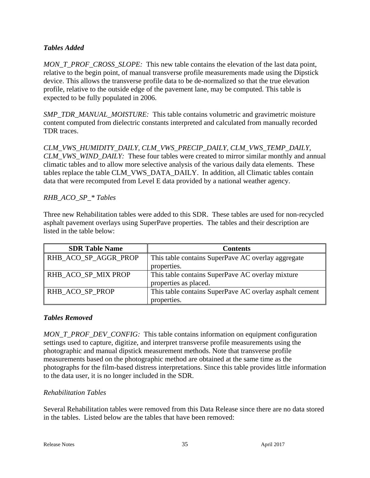# *Tables Added*

*MON\_T\_PROF\_CROSS\_SLOPE:* This new table contains the elevation of the last data point, relative to the begin point, of manual transverse profile measurements made using the Dipstick device. This allows the transverse profile data to be de-normalized so that the true elevation profile, relative to the outside edge of the pavement lane, may be computed. This table is expected to be fully populated in 2006.

*SMP\_TDR\_MANUAL\_MOISTURE:* This table contains volumetric and gravimetric moisture content computed from dielectric constants interpreted and calculated from manually recorded TDR traces.

*CLM\_VWS\_HUMIDITY\_DAILY, CLM\_VWS\_PRECIP\_DAILY, CLM\_VWS\_TEMP\_DAILY, CLM\_VWS\_WIND\_DAILY:* These four tables were created to mirror similar monthly and annual climatic tables and to allow more selective analysis of the various daily data elements. These tables replace the table CLM\_VWS\_DATA\_DAILY. In addition, all Climatic tables contain data that were recomputed from Level E data provided by a national weather agency.

# *RHB\_ACO\_SP\_\* Tables*

Three new Rehabilitation tables were added to this SDR. These tables are used for non-recycled asphalt pavement overlays using SuperPave properties. The tables and their description are listed in the table below:

| <b>SDR Table Name</b> | <b>Contents</b>                                         |
|-----------------------|---------------------------------------------------------|
| RHB_ACO_SP_AGGR_PROP  | This table contains SuperPave AC overlay aggregate      |
|                       | properties.                                             |
| RHB_ACO_SP_MIX PROP   | This table contains SuperPave AC overlay mixture        |
|                       | properties as placed.                                   |
| RHB ACO SP PROP       | This table contains SuperPave AC overlay asphalt cement |
|                       | properties.                                             |

#### *Tables Removed*

*MON\_T\_PROF\_DEV\_CONFIG:* This table contains information on equipment configuration settings used to capture, digitize, and interpret transverse profile measurements using the photographic and manual dipstick measurement methods. Note that transverse profile measurements based on the photographic method are obtained at the same time as the photographs for the film-based distress interpretations. Since this table provides little information to the data user, it is no longer included in the SDR.

# *Rehabilitation Tables*

Several Rehabilitation tables were removed from this Data Release since there are no data stored in the tables. Listed below are the tables that have been removed: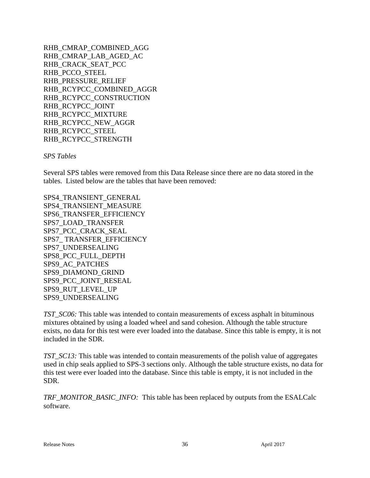RHB\_CMRAP\_COMBINED\_AGG RHB\_CMRAP\_LAB\_AGED\_AC RHB\_CRACK\_SEAT\_PCC RHB\_PCCO\_STEEL RHB\_PRESSURE\_RELIEF RHB\_RCYPCC\_COMBINED\_AGGR RHB\_RCYPCC\_CONSTRUCTION RHB\_RCYPCC\_JOINT RHB\_RCYPCC\_MIXTURE RHB\_RCYPCC\_NEW\_AGGR RHB\_RCYPCC\_STEEL RHB\_RCYPCC\_STRENGTH

*SPS Tables*

Several SPS tables were removed from this Data Release since there are no data stored in the tables. Listed below are the tables that have been removed:

SPS4\_TRANSIENT\_GENERAL SPS4\_TRANSIENT\_MEASURE SPS6\_TRANSFER\_EFFICIENCY SPS7\_LOAD\_TRANSFER SPS7\_PCC\_CRACK\_SEAL SPS7\_ TRANSFER\_EFFICIENCY SPS7\_UNDERSEALING SPS8\_PCC\_FULL\_DEPTH SPS9\_AC\_PATCHES SPS9\_DIAMOND\_GRIND SPS9\_PCC\_JOINT\_RESEAL SPS9\_RUT\_LEVEL\_UP SPS9\_UNDERSEALING

*TST\_SC06:* This table was intended to contain measurements of excess asphalt in bituminous mixtures obtained by using a loaded wheel and sand cohesion. Although the table structure exists, no data for this test were ever loaded into the database. Since this table is empty, it is not included in the SDR.

*TST\_SC13:* This table was intended to contain measurements of the polish value of aggregates used in chip seals applied to SPS-3 sections only. Although the table structure exists, no data for this test were ever loaded into the database. Since this table is empty, it is not included in the SDR.

*TRF\_MONITOR\_BASIC\_INFO:* This table has been replaced by outputs from the ESALCalc software.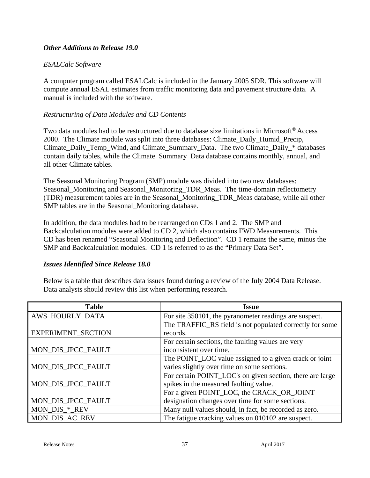#### *Other Additions to Release 19.0*

#### *ESALCalc Software*

A computer program called ESALCalc is included in the January 2005 SDR. This software will compute annual ESAL estimates from traffic monitoring data and pavement structure data. A manual is included with the software.

#### *Restructuring of Data Modules and CD Contents*

Two data modules had to be restructured due to database size limitations in Microsoft® Access 2000. The Climate module was split into three databases: Climate\_Daily\_Humid\_Precip, Climate\_Daily\_Temp\_Wind, and Climate\_Summary\_Data. The two Climate\_Daily\_\* databases contain daily tables, while the Climate\_Summary\_Data database contains monthly, annual, and all other Climate tables.

The Seasonal Monitoring Program (SMP) module was divided into two new databases: Seasonal\_Monitoring and Seasonal\_Monitoring\_TDR\_Meas. The time-domain reflectometry (TDR) measurement tables are in the Seasonal\_Monitoring\_TDR\_Meas database, while all other SMP tables are in the Seasonal\_Monitoring database.

In addition, the data modules had to be rearranged on CDs 1 and 2. The SMP and Backcalculation modules were added to CD 2, which also contains FWD Measurements. This CD has been renamed "Seasonal Monitoring and Deflection". CD 1 remains the same, minus the SMP and Backcalculation modules. CD 1 is referred to as the "Primary Data Set".

#### *Issues Identified Since Release 18.0*

Below is a table that describes data issues found during a review of the July 2004 Data Release. Data analysts should review this list when performing research.

| <b>Table</b>              | Issue                                                     |
|---------------------------|-----------------------------------------------------------|
| AWS_HOURLY_DATA           | For site 350101, the pyranometer readings are suspect.    |
|                           | The TRAFFIC_RS field is not populated correctly for some  |
| <b>EXPERIMENT_SECTION</b> | records.                                                  |
|                           | For certain sections, the faulting values are very        |
| MON_DIS_JPCC_FAULT        | inconsistent over time.                                   |
|                           | The POINT_LOC value assigned to a given crack or joint    |
| MON_DIS_JPCC_FAULT        | varies slightly over time on some sections.               |
|                           | For certain POINT_LOC's on given section, there are large |
| MON_DIS_JPCC_FAULT        | spikes in the measured faulting value.                    |
|                           | For a given POINT_LOC, the CRACK_OR_JOINT                 |
| MON_DIS_JPCC_FAULT        | designation changes over time for some sections.          |
| MON_DIS_*_REV             | Many null values should, in fact, be recorded as zero.    |
| MON DIS AC REV            | The fatigue cracking values on 010102 are suspect.        |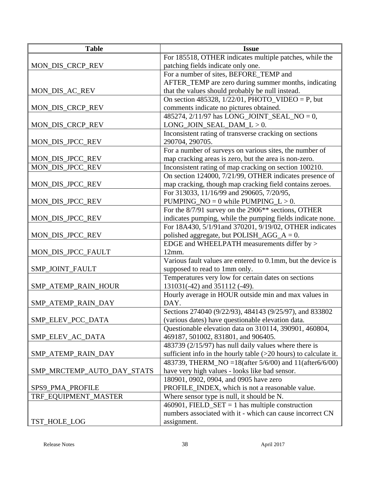| <b>Table</b>               | <b>Issue</b>                                                       |
|----------------------------|--------------------------------------------------------------------|
|                            | For 185518, OTHER indicates multiple patches, while the            |
| MON_DIS_CRCP_REV           | patching fields indicate only one.                                 |
|                            | For a number of sites, BEFORE_TEMP and                             |
|                            | AFTER_TEMP are zero during summer months, indicating               |
| MON_DIS_AC_REV             | that the values should probably be null instead.                   |
|                            | On section 485328, $1/22/01$ , PHOTO_VIDEO = P, but                |
| MON_DIS_CRCP_REV           | comments indicate no pictures obtained.                            |
|                            | 485274, 2/11/97 has LONG_JOINT_SEAL_NO = 0,                        |
| MON_DIS_CRCP_REV           | $LONG_JOIN_SEAL_DAM_L > 0.$                                        |
|                            | Inconsistent rating of transverse cracking on sections             |
| MON_DIS_JPCC_REV           | 290704, 290705.                                                    |
|                            | For a number of surveys on various sites, the number of            |
| MON_DIS_JPCC_REV           | map cracking areas is zero, but the area is non-zero.              |
| MON_DIS_JPCC_REV           | Inconsistent rating of map cracking on section 100210.             |
|                            | On section 124000, 7/21/99, OTHER indicates presence of            |
| MON_DIS_JPCC_REV           | map cracking, though map cracking field contains zeroes.           |
|                            | For 313033, 11/16/99 and 290605, 7/20/95,                          |
| MON_DIS_JPCC_REV           | PUMPING_NO = $0$ while PUMPING_L > 0.                              |
|                            | For the 8/7/91 survey on the 2906 <sup>**</sup> sections, OTHER    |
| MON_DIS_JPCC_REV           | indicates pumping, while the pumping fields indicate none.         |
|                            | For 18A430, 5/1/91and 370201, 9/19/02, OTHER indicates             |
| MON_DIS_JPCC_REV           | polished aggregate, but POLISH_AGG_ $A = 0$ .                      |
|                            | EDGE and WHEELPATH measurements differ by >                        |
| MON_DIS_JPCC_FAULT         | 12mm.                                                              |
|                            | Various fault values are entered to 0.1mm, but the device is       |
| SMP_JOINT_FAULT            | supposed to read to 1mm only.                                      |
|                            | Temperatures very low for certain dates on sections                |
| SMP_ATEMP_RAIN_HOUR        | 131031(-42) and 351112 (-49).                                      |
|                            | Hourly average in HOUR outside min and max values in               |
| SMP_ATEMP_RAIN_DAY         | DAY.                                                               |
|                            | Sections 274040 (9/22/93), 484143 (9/25/97), and 833802            |
| SMP_ELEV_PCC_DATA          | (various dates) have questionable elevation data.                  |
|                            | Questionable elevation data on 310114, 390901, 460804,             |
| SMP_ELEV_AC_DATA           | 469187, 501002, 831801, and 906405.                                |
|                            | 483739 (2/15/97) has null daily values where there is              |
| SMP_ATEMP_RAIN_DAY         | sufficient info in the hourly table $(>20$ hours) to calculate it. |
|                            | 483739, THERM_NO = 18(after 5/6/00) and 11(after 6/6/00)           |
| SMP_MRCTEMP_AUTO_DAY_STATS | have very high values - looks like bad sensor.                     |
|                            | 180901, 0902, 0904, and 0905 have zero                             |
| SPS9_PMA_PROFILE           | PROFILE_INDEX, which is not a reasonable value.                    |
| TRF_EQUIPMENT_MASTER       | Where sensor type is null, it should be N.                         |
|                            | 460901, FIELD_SET = 1 has multiple construction                    |
|                            | numbers associated with it - which can cause incorrect CN          |
| TST_HOLE_LOG               | assignment.                                                        |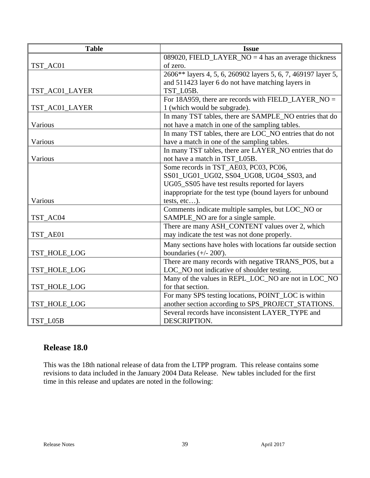| <b>Table</b>   | <b>Issue</b>                                                  |
|----------------|---------------------------------------------------------------|
|                | 089020, FIELD_LAYER_NO = 4 has an average thickness           |
| TST_AC01       | of zero.                                                      |
|                | 2606** layers 4, 5, 6, 260902 layers 5, 6, 7, 469197 layer 5, |
|                | and 511423 layer 6 do not have matching layers in             |
| TST_AC01_LAYER | TST L05B.                                                     |
|                | For 18A959, there are records with FIELD_LAYER_NO =           |
| TST_AC01_LAYER | 1 (which would be subgrade).                                  |
|                | In many TST tables, there are SAMPLE_NO entries that do       |
| Various        | not have a match in one of the sampling tables.               |
|                | In many TST tables, there are LOC_NO entries that do not      |
| Various        | have a match in one of the sampling tables.                   |
|                | In many TST tables, there are LAYER_NO entries that do        |
| Various        | not have a match in TST_L05B.                                 |
|                | Some records in TST_AE03, PC03, PC06,                         |
|                | SS01_UG01_UG02, SS04_UG08, UG04_SS03, and                     |
|                | UG05_SS05 have test results reported for layers               |
|                | inappropriate for the test type (bound layers for unbound     |
| Various        | tests, etc).                                                  |
|                | Comments indicate multiple samples, but LOC_NO or             |
| TST_AC04       | SAMPLE_NO are for a single sample.                            |
|                | There are many ASH_CONTENT values over 2, which               |
| TST_AE01       | may indicate the test was not done properly.                  |
|                | Many sections have holes with locations far outside section   |
| TST_HOLE_LOG   | boundaries $(+/- 200')$ .                                     |
|                | There are many records with negative TRANS_POS, but a         |
| TST_HOLE_LOG   | LOC_NO not indicative of shoulder testing.                    |
|                | Many of the values in REPL_LOC_NO are not in LOC_NO           |
| TST_HOLE_LOG   | for that section.                                             |
|                | For many SPS testing locations, POINT_LOC is within           |
| TST_HOLE_LOG   | another section according to SPS_PROJECT_STATIONS.            |
|                | Several records have inconsistent LAYER TYPE and              |
| TST_L05B       | DESCRIPTION.                                                  |

# **Release 18.0**

This was the 18th national release of data from the LTPP program. This release contains some revisions to data included in the January 2004 Data Release. New tables included for the first time in this release and updates are noted in the following: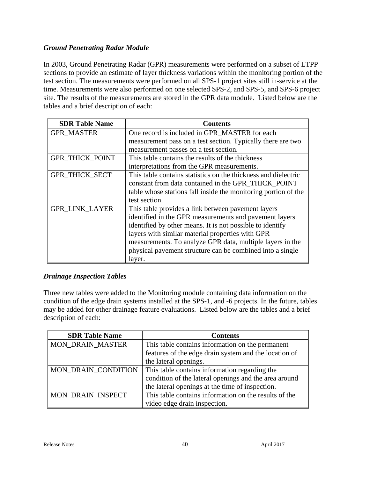# *Ground Penetrating Radar Module*

In 2003, Ground Penetrating Radar (GPR) measurements were performed on a subset of LTPP sections to provide an estimate of layer thickness variations within the monitoring portion of the test section. The measurements were performed on all SPS-1 project sites still in-service at the time. Measurements were also performed on one selected SPS-2, and SPS-5, and SPS-6 project site. The results of the measurements are stored in the GPR data module. Listed below are the tables and a brief description of each:

| <b>SDR Table Name</b>  | <b>Contents</b>                                                |
|------------------------|----------------------------------------------------------------|
| <b>GPR MASTER</b>      | One record is included in GPR_MASTER for each                  |
|                        | measurement pass on a test section. Typically there are two    |
|                        | measurement passes on a test section.                          |
| <b>GPR_THICK_POINT</b> | This table contains the results of the thickness               |
|                        | interpretations from the GPR measurements.                     |
| <b>GPR THICK SECT</b>  | This table contains statistics on the thickness and dielectric |
|                        | constant from data contained in the GPR_THICK_POINT            |
|                        | table whose stations fall inside the monitoring portion of the |
|                        | test section.                                                  |
| <b>GPR_LINK_LAYER</b>  | This table provides a link between pavement layers             |
|                        | identified in the GPR measurements and pavement layers         |
|                        | identified by other means. It is not possible to identify      |
|                        | layers with similar material properties with GPR               |
|                        | measurements. To analyze GPR data, multiple layers in the      |
|                        | physical pavement structure can be combined into a single      |
|                        | layer.                                                         |

# *Drainage Inspection Tables*

Three new tables were added to the Monitoring module containing data information on the condition of the edge drain systems installed at the SPS-1, and -6 projects. In the future, tables may be added for other drainage feature evaluations. Listed below are the tables and a brief description of each:

| <b>SDR Table Name</b>   | <b>Contents</b>                                       |
|-------------------------|-------------------------------------------------------|
| <b>MON_DRAIN_MASTER</b> | This table contains information on the permanent      |
|                         | features of the edge drain system and the location of |
|                         | the lateral openings.                                 |
| MON_DRAIN_CONDITION     | This table contains information regarding the         |
|                         | condition of the lateral openings and the area around |
|                         | the lateral openings at the time of inspection.       |
| MON DRAIN INSPECT       | This table contains information on the results of the |
|                         | video edge drain inspection.                          |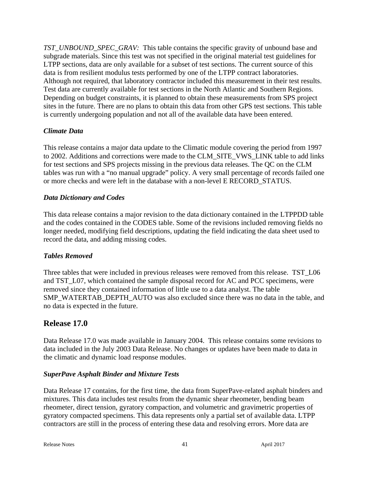*TST\_UNBOUND\_SPEC\_GRAV:* This table contains the specific gravity of unbound base and subgrade materials. Since this test was not specified in the original material test guidelines for LTPP sections, data are only available for a subset of test sections. The current source of this data is from resilient modulus tests performed by one of the LTPP contract laboratories. Although not required, that laboratory contractor included this measurement in their test results. Test data are currently available for test sections in the North Atlantic and Southern Regions. Depending on budget constraints, it is planned to obtain these measurements from SPS project sites in the future. There are no plans to obtain this data from other GPS test sections. This table is currently undergoing population and not all of the available data have been entered.

# *Climate Data*

This release contains a major data update to the Climatic module covering the period from 1997 to 2002. Additions and corrections were made to the CLM\_SITE\_VWS\_LINK table to add links for test sections and SPS projects missing in the previous data releases. The QC on the CLM tables was run with a "no manual upgrade" policy. A very small percentage of records failed one or more checks and were left in the database with a non-level E RECORD\_STATUS.

#### *Data Dictionary and Codes*

This data release contains a major revision to the data dictionary contained in the LTPPDD table and the codes contained in the CODES table. Some of the revisions included removing fields no longer needed, modifying field descriptions, updating the field indicating the data sheet used to record the data, and adding missing codes.

#### *Tables Removed*

Three tables that were included in previous releases were removed from this release. TST L06 and TST\_L07, which contained the sample disposal record for AC and PCC specimens, were removed since they contained information of little use to a data analyst. The table SMP\_WATERTAB\_DEPTH\_AUTO was also excluded since there was no data in the table, and no data is expected in the future.

# **Release 17.0**

Data Release 17.0 was made available in January 2004. This release contains some revisions to data included in the July 2003 Data Release. No changes or updates have been made to data in the climatic and dynamic load response modules.

#### *SuperPave Asphalt Binder and Mixture Tests*

Data Release 17 contains, for the first time, the data from SuperPave-related asphalt binders and mixtures. This data includes test results from the dynamic shear rheometer, bending beam rheometer, direct tension, gyratory compaction, and volumetric and gravimetric properties of gyratory compacted specimens. This data represents only a partial set of available data. LTPP contractors are still in the process of entering these data and resolving errors. More data are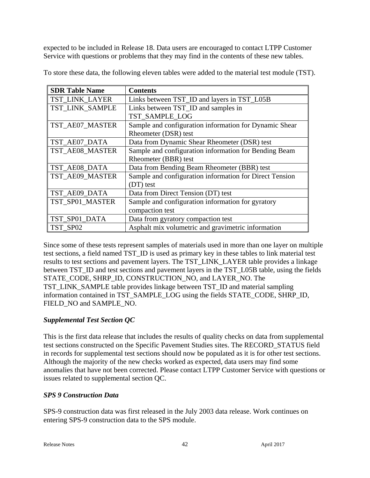expected to be included in Release 18. Data users are encouraged to contact LTPP Customer Service with questions or problems that they may find in the contents of these new tables.

| <b>SDR Table Name</b> | <b>Contents</b>                                         |
|-----------------------|---------------------------------------------------------|
| TST_LINK_LAYER        | Links between TST_ID and layers in TST_L05B             |
| TST LINK SAMPLE       | Links between TST_ID and samples in                     |
|                       | TST_SAMPLE_LOG                                          |
| TST_AE07_MASTER       | Sample and configuration information for Dynamic Shear  |
|                       | Rheometer (DSR) test                                    |
| TST_AE07_DATA         | Data from Dynamic Shear Rheometer (DSR) test            |
| TST_AE08_MASTER       | Sample and configuration information for Bending Beam   |
|                       | Rheometer (BBR) test                                    |
| TST_AE08_DATA         | Data from Bending Beam Rheometer (BBR) test             |
| TST_AE09_MASTER       | Sample and configuration information for Direct Tension |
|                       | (DT) test                                               |
| TST_AE09_DATA         | Data from Direct Tension (DT) test                      |
| TST_SP01_MASTER       | Sample and configuration information for gyratory       |
|                       | compaction test                                         |
| TST_SP01_DATA         | Data from gyratory compaction test                      |
| TST SP02              | Asphalt mix volumetric and gravimetric information      |

To store these data, the following eleven tables were added to the material test module (TST).

Since some of these tests represent samples of materials used in more than one layer on multiple test sections, a field named TST\_ID is used as primary key in these tables to link material test results to test sections and pavement layers. The TST\_LINK\_LAYER table provides a linkage between TST\_ID and test sections and pavement layers in the TST\_L05B table, using the fields STATE\_CODE, SHRP\_ID, CONSTRUCTION\_NO, and LAYER\_NO. The TST\_LINK\_SAMPLE table provides linkage between TST\_ID and material sampling information contained in TST\_SAMPLE\_LOG using the fields STATE\_CODE, SHRP\_ID, FIELD\_NO and SAMPLE\_NO.

# *Supplemental Test Section QC*

This is the first data release that includes the results of quality checks on data from supplemental test sections constructed on the Specific Pavement Studies sites. The RECORD\_STATUS field in records for supplemental test sections should now be populated as it is for other test sections. Although the majority of the new checks worked as expected, data users may find some anomalies that have not been corrected. Please contact LTPP Customer Service with questions or issues related to supplemental section QC.

# *SPS 9 Construction Data*

SPS-9 construction data was first released in the July 2003 data release. Work continues on entering SPS-9 construction data to the SPS module.